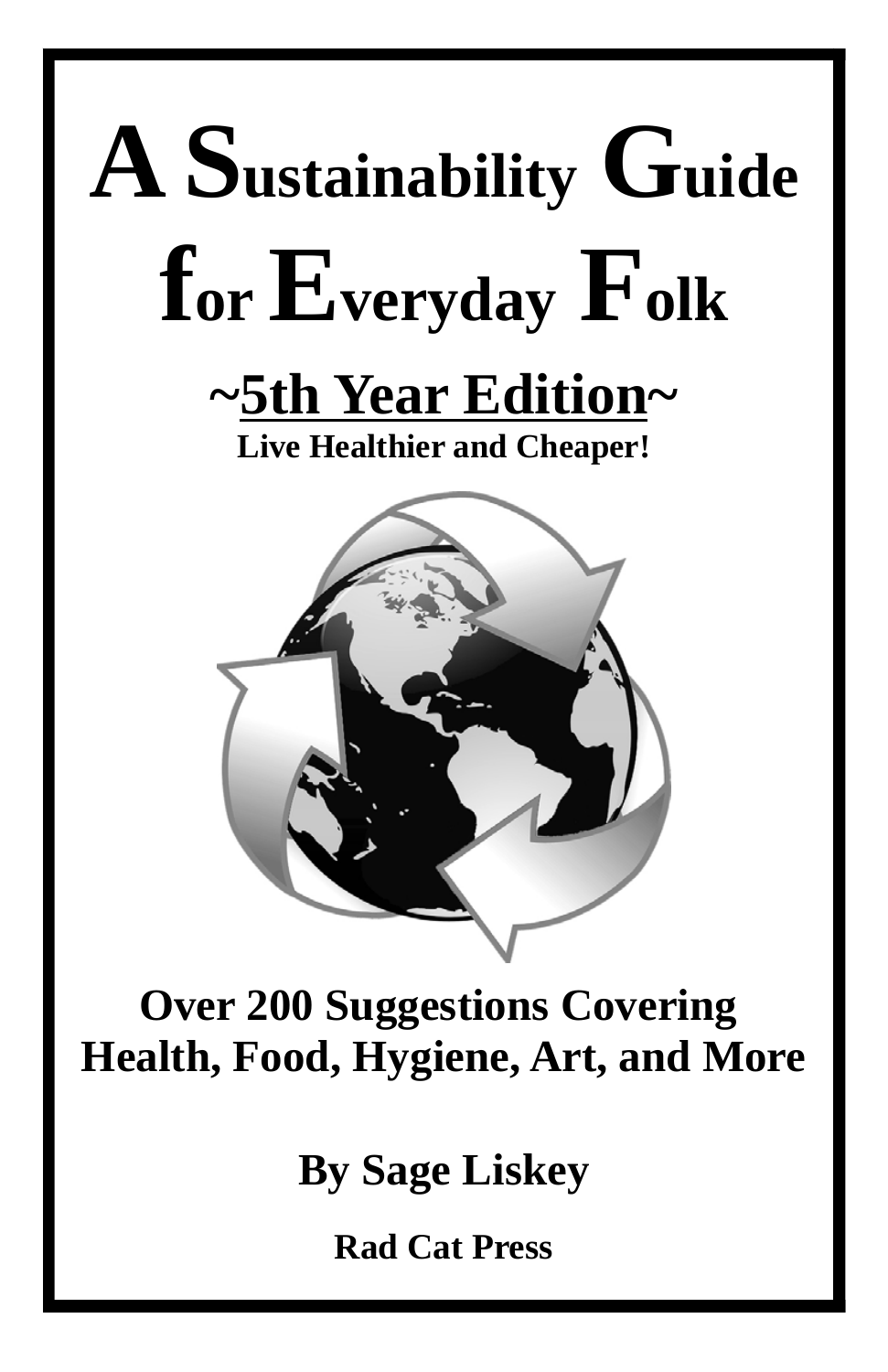

#### **Over 200 Suggestions Covering Health, Food, Hygiene, Art, and More**

**By Sage Liskey**

**Rad Cat Press**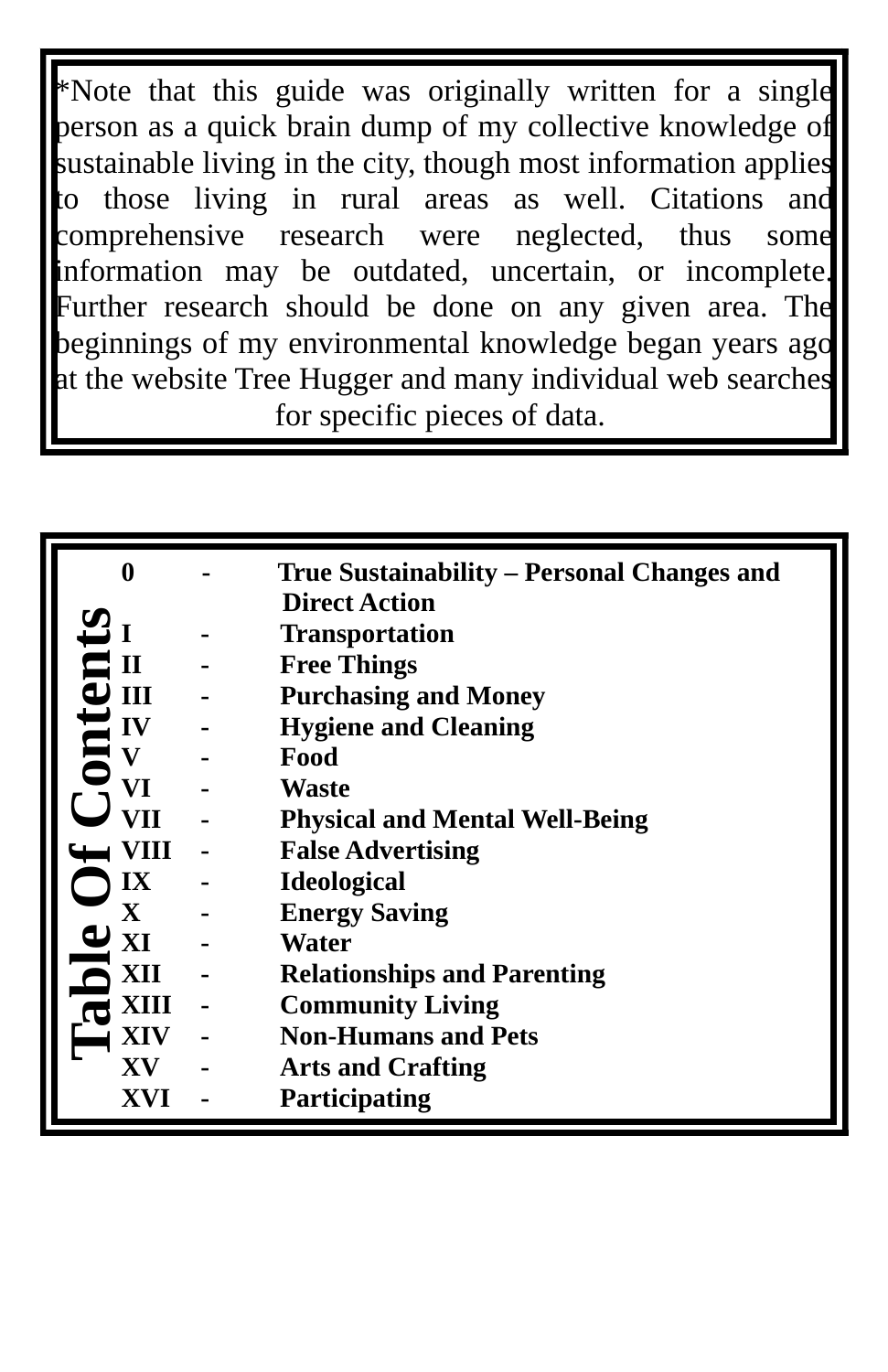\*Note that this guide was originally written for a single person as a quick brain dump of my collective knowledge of sustainable living in the city, though most information applies to those living in rural areas as well. Citations and comprehensive research were neglected, thus some information may be outdated, uncertain, or incomplete. Further research should be done on any given area. The beginnings of my environmental knowledge began years ago at the website Tree Hugger and many individual web searches for specific pieces of data.

|                        | True Sustainability – Personal Changes and |
|------------------------|--------------------------------------------|
|                        | <b>Direct Action</b>                       |
|                        | <b>Transportation</b>                      |
|                        | <b>Free Things</b>                         |
| Ш                      | <b>Purchasing and Money</b>                |
| IV                     | <b>Hygiene and Cleaning</b>                |
|                        | Food                                       |
| VT                     | <b>Waste</b>                               |
| VH                     | <b>Physical and Mental Well-Being</b>      |
| VIII                   | <b>False Advertising</b>                   |
| IX                     | <b>Ideological</b>                         |
| $\mathbf X$            | <b>Energy Saving</b>                       |
| $\mathbf{X}$           | Water                                      |
| XII                    | <b>Relationships and Parenting</b>         |
| ХШ                     | <b>Community Living</b>                    |
| XIV                    | <b>Non-Humans and Pets</b>                 |
| $\mathbf{X}\mathbf{V}$ | <b>Arts and Crafting</b>                   |
| XVI                    | <b>Participating</b>                       |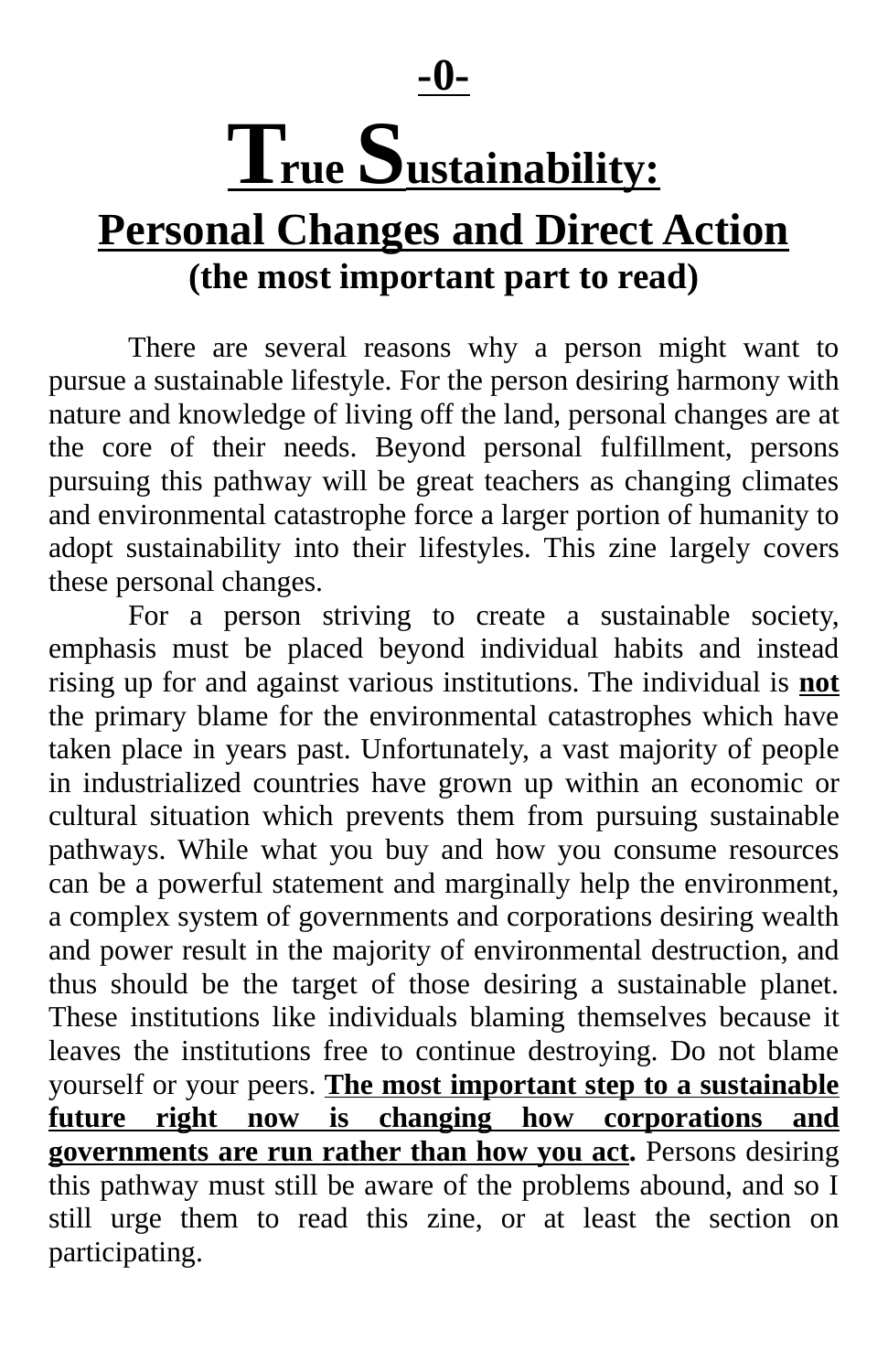**-0-**

### $T<sub>rue</sub>$  Sustainability:

#### **Personal Changes and Direct Action (the most important part to read)**

There are several reasons why a person might want to pursue a sustainable lifestyle. For the person desiring harmony with nature and knowledge of living off the land, personal changes are at the core of their needs. Beyond personal fulfillment, persons pursuing this pathway will be great teachers as changing climates and environmental catastrophe force a larger portion of humanity to adopt sustainability into their lifestyles. This zine largely covers these personal changes.

For a person striving to create a sustainable society, emphasis must be placed beyond individual habits and instead rising up for and against various institutions. The individual is **not** the primary blame for the environmental catastrophes which have taken place in years past. Unfortunately, a vast majority of people in industrialized countries have grown up within an economic or cultural situation which prevents them from pursuing sustainable pathways. While what you buy and how you consume resources can be a powerful statement and marginally help the environment, a complex system of governments and corporations desiring wealth and power result in the majority of environmental destruction, and thus should be the target of those desiring a sustainable planet. These institutions like individuals blaming themselves because it leaves the institutions free to continue destroying. Do not blame yourself or your peers. **The most important step to a sustainable future right now is changing how corporations and governments are run rather than how you act.** Persons desiring this pathway must still be aware of the problems abound, and so I still urge them to read this zine, or at least the section on participating.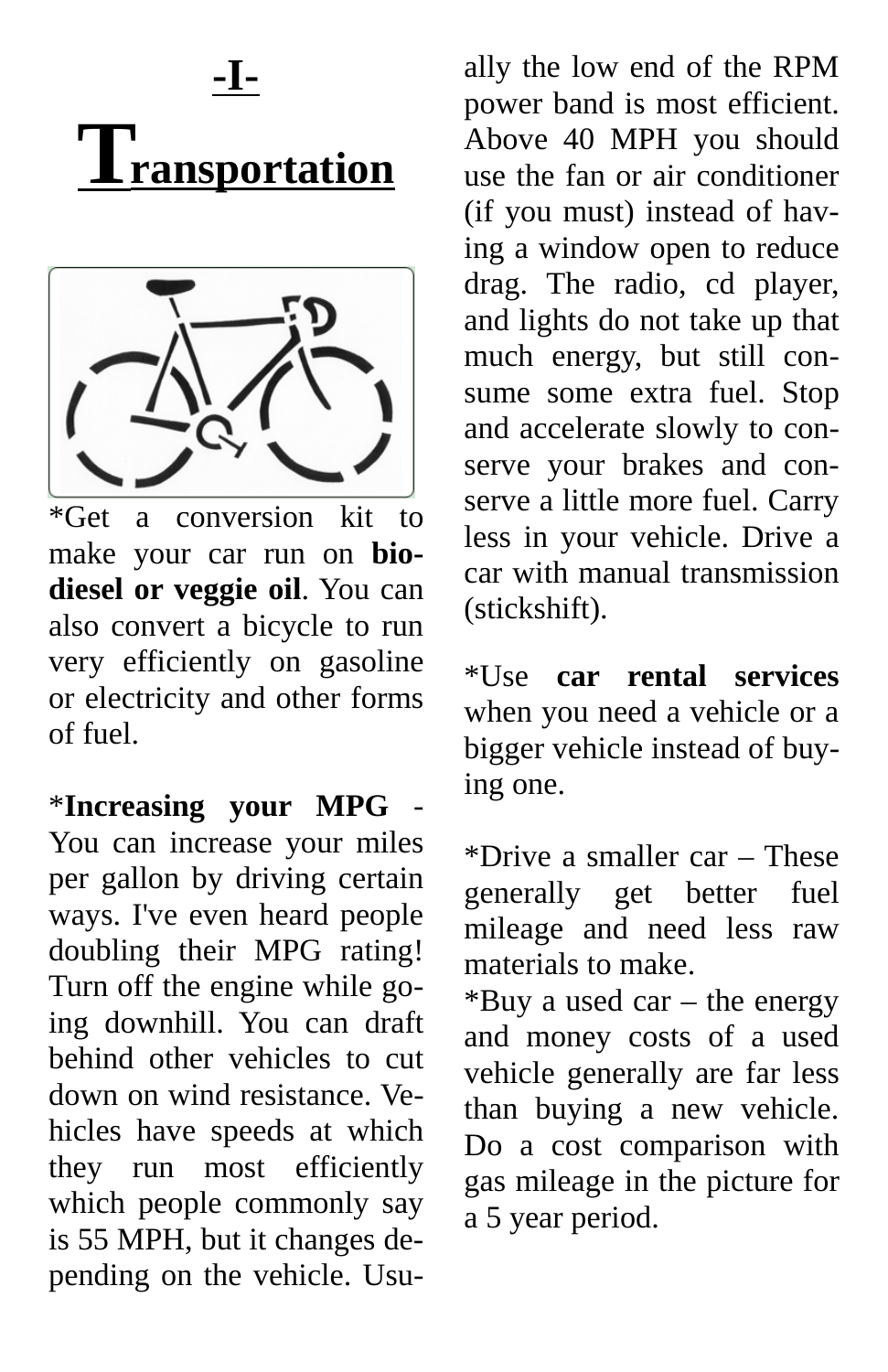



\*Get a conversion kit to make your car run on **biodiesel or veggie oil**. You can also convert a bicycle to run very efficiently on gasoline or electricity and other forms of fuel.

\***Increasing your MPG** - You can increase your miles per gallon by driving certain ways. I've even heard people doubling their MPG rating! Turn off the engine while going downhill. You can draft behind other vehicles to cut down on wind resistance. Vehicles have speeds at which they run most efficiently which people commonly say is 55 MPH, but it changes depending on the vehicle. Usu-

ally the low end of the RPM power band is most efficient. Above 40 MPH you should use the fan or air conditioner (if you must) instead of having a window open to reduce drag. The radio, cd player, and lights do not take up that much energy, but still consume some extra fuel. Stop and accelerate slowly to conserve your brakes and conserve a little more fuel. Carry less in your vehicle. Drive a car with manual transmission (stickshift).

\*Use **car rental services** when you need a vehicle or a bigger vehicle instead of buying one.

\*Drive a smaller car – These generally get better fuel mileage and need less raw materials to make.

\*Buy a used car – the energy and money costs of a used vehicle generally are far less than buying a new vehicle. Do a cost comparison with gas mileage in the picture for a 5 year period.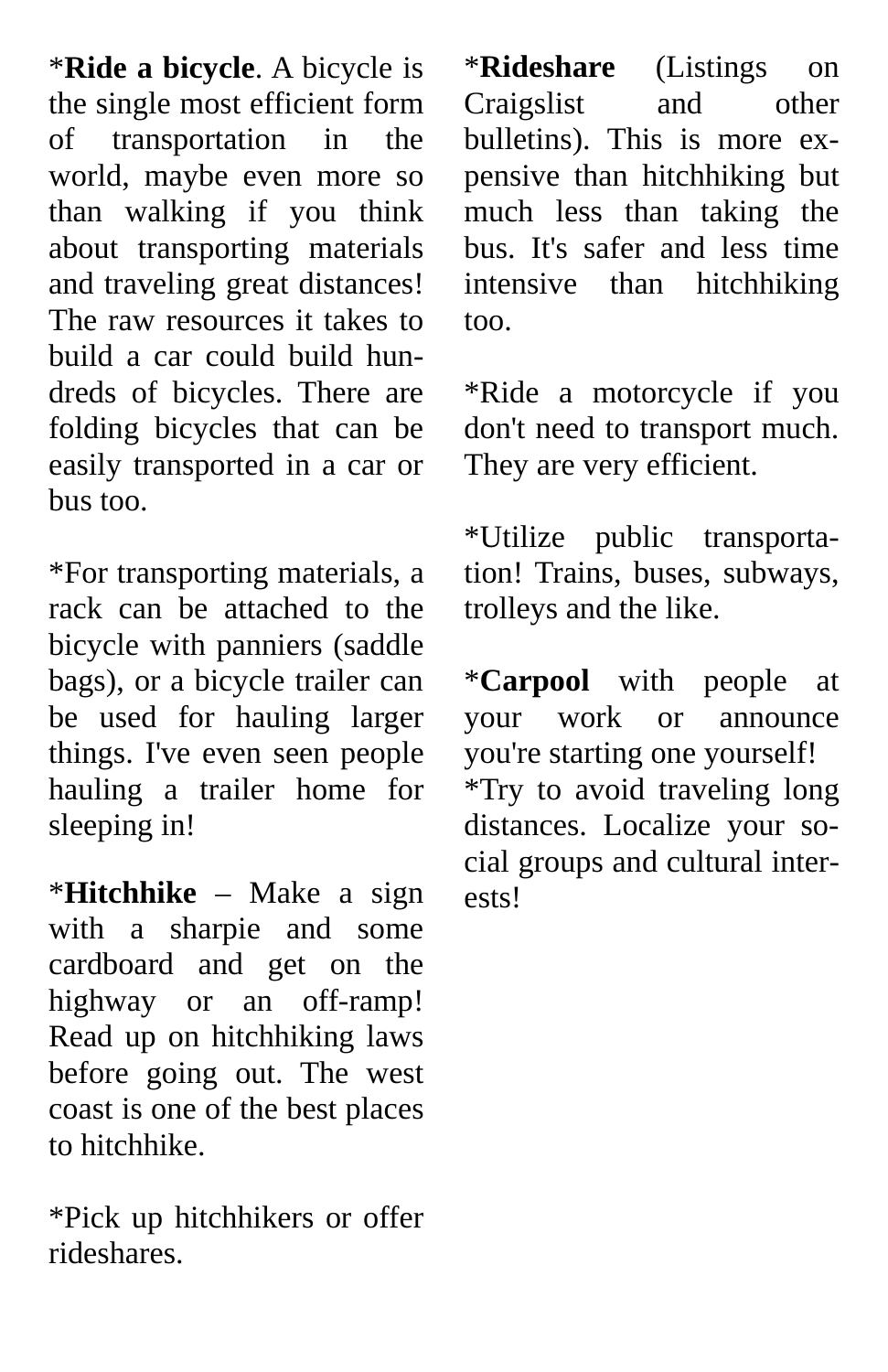\***Ride a bicycle**. A bicycle is the single most efficient form of transportation in the world, maybe even more so than walking if you think about transporting materials and traveling great distances! The raw resources it takes to build a car could build hundreds of bicycles. There are folding bicycles that can be easily transported in a car or bus too.

\*For transporting materials, a rack can be attached to the bicycle with panniers (saddle bags), or a bicycle trailer can be used for hauling larger things. I've even seen people hauling a trailer home for sleeping in!

\***Hitchhike** – Make a sign with a sharpie and some cardboard and get on the highway or an off-ramp! Read up on hitchhiking laws before going out. The west coast is one of the best places to hitchhike.

\*Pick up hitchhikers or offer rideshares.

\***Rideshare** (Listings on Craigslist and other bulletins). This is more expensive than hitchhiking but much less than taking the bus. It's safer and less time intensive than hitchhiking too.

\*Ride a motorcycle if you don't need to transport much. They are very efficient.

\*Utilize public transportation! Trains, buses, subways, trolleys and the like.

\***Carpool** with people at your work or announce you're starting one yourself! \*Try to avoid traveling long distances. Localize your social groups and cultural interests!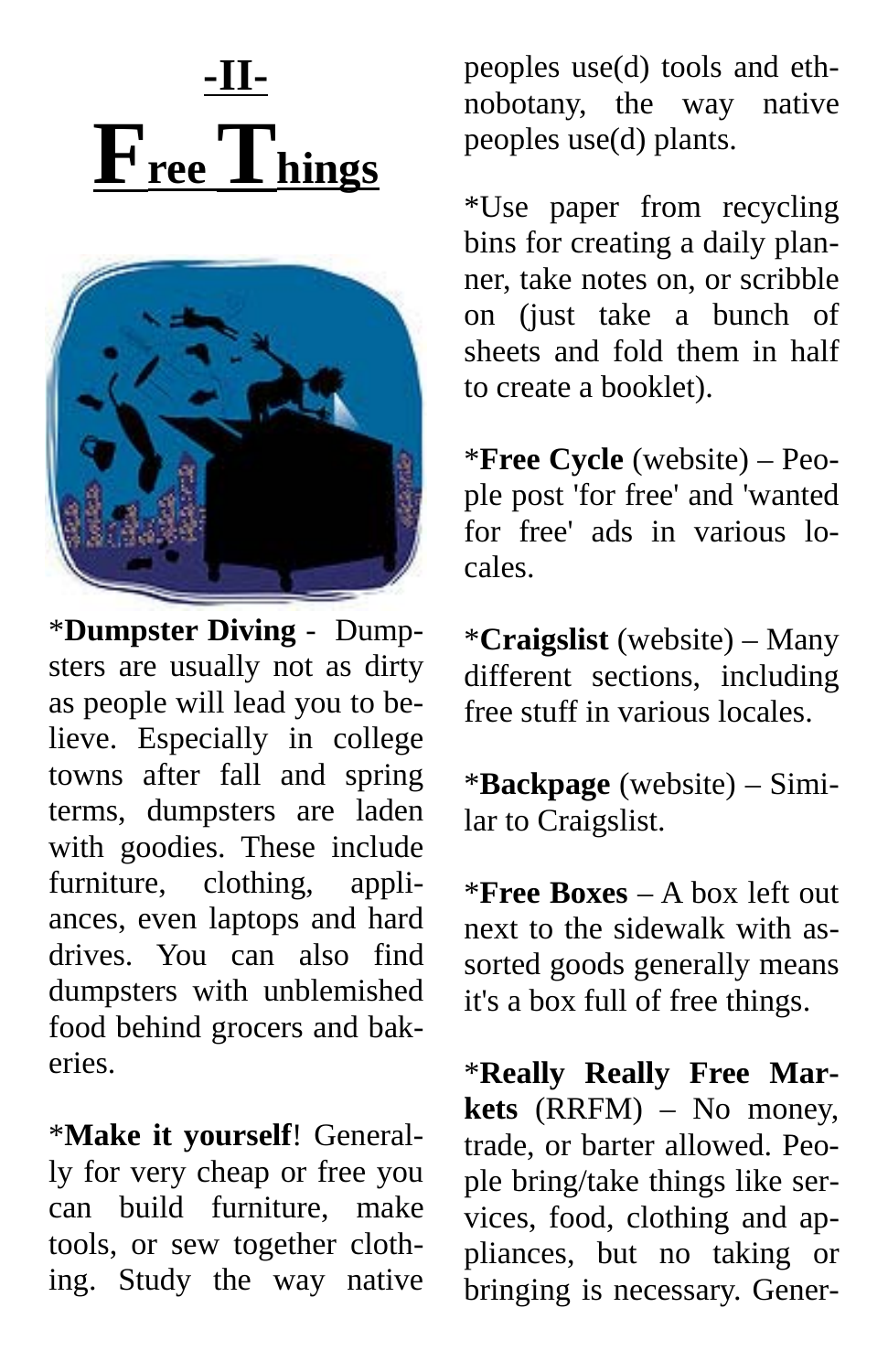### **-II-**  $\mathbf{F}_{\text{ree}}$  Things



\***Dumpster Diving** - Dumpsters are usually not as dirty as people will lead you to believe. Especially in college towns after fall and spring terms, dumpsters are laden with goodies. These include furniture, clothing, appliances, even laptops and hard drives. You can also find dumpsters with unblemished food behind grocers and bakeries.

\***Make it yourself**! Generally for very cheap or free you can build furniture, make tools, or sew together clothing. Study the way native peoples use(d) tools and ethnobotany, the way native peoples use(d) plants.

\*Use paper from recycling bins for creating a daily planner, take notes on, or scribble on (just take a bunch of sheets and fold them in half to create a booklet).

\***Free Cycle** (website) – People post 'for free' and 'wanted for free' ads in various locales.

\***Craigslist** (website) – Many different sections, including free stuff in various locales.

\***Backpage** (website) – Similar to Craigslist.

\***Free Boxes** – A box left out next to the sidewalk with assorted goods generally means it's a box full of free things.

\***Really Really Free Markets** (RRFM) – No money, trade, or barter allowed. People bring/take things like services, food, clothing and appliances, but no taking or bringing is necessary. Gener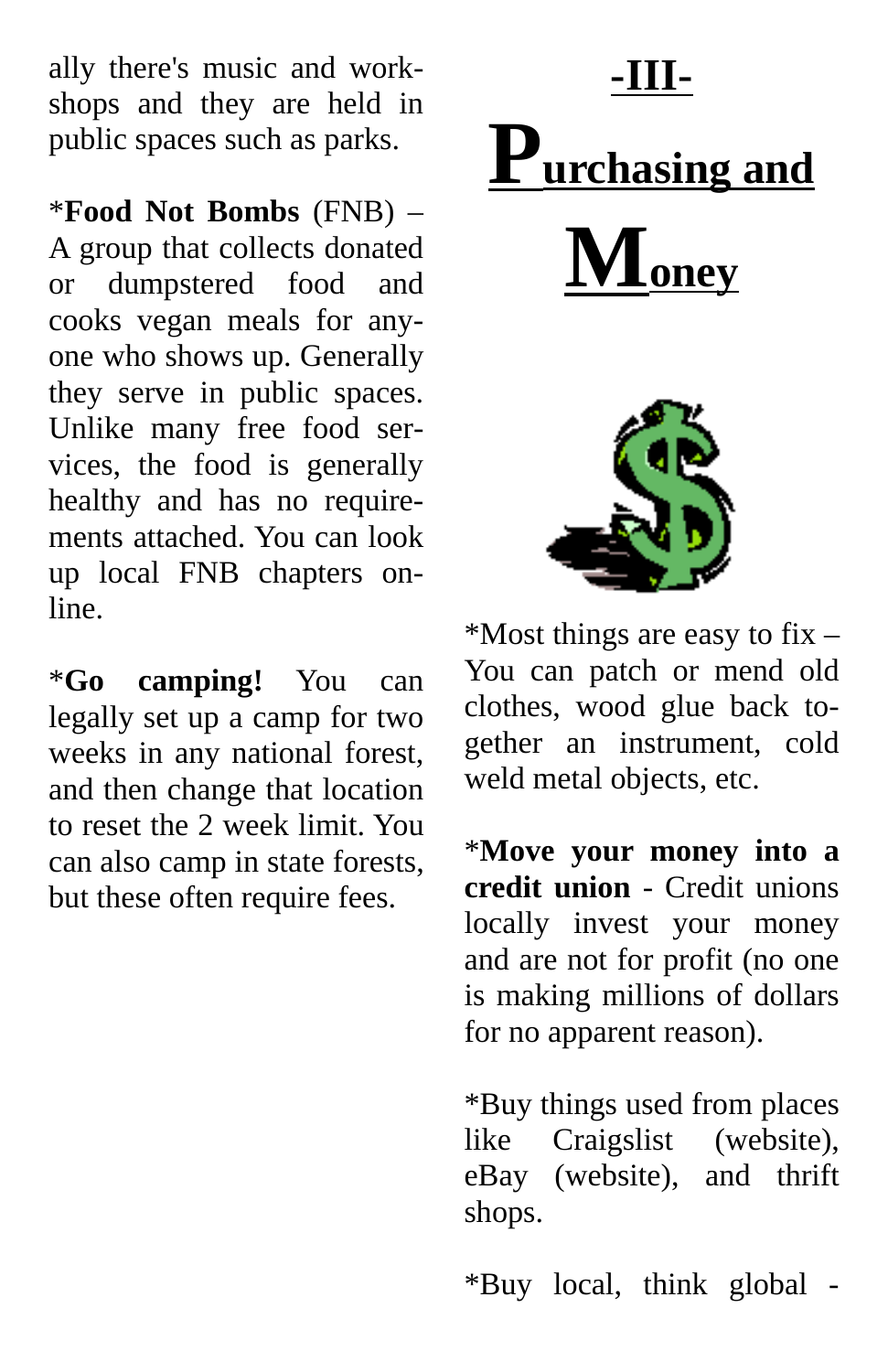ally there's music and workshops and they are held in public spaces such as parks.

\***Food Not Bombs** (FNB) – A group that collects donated or dumpstered food and cooks vegan meals for anyone who shows up. Generally they serve in public spaces. Unlike many free food services, the food is generally healthy and has no requirements attached. You can look up local FNB chapters online.

\***Go camping!** You can legally set up a camp for two weeks in any national forest, and then change that location to reset the 2 week limit. You can also camp in state forests, but these often require fees.

# **-III- Purchasing and**  $\mathbf{M}_{\mathbf{oney}}$

\*Most things are easy to fix – You can patch or mend old clothes, wood glue back together an instrument, cold weld metal objects, etc.

\***Move your money into a credit union** - Credit unions locally invest your money and are not for profit (no one is making millions of dollars for no apparent reason).

\*Buy things used from places like  $Craigslist$ eBay (website), and thrift shops.

\*Buy local, think global -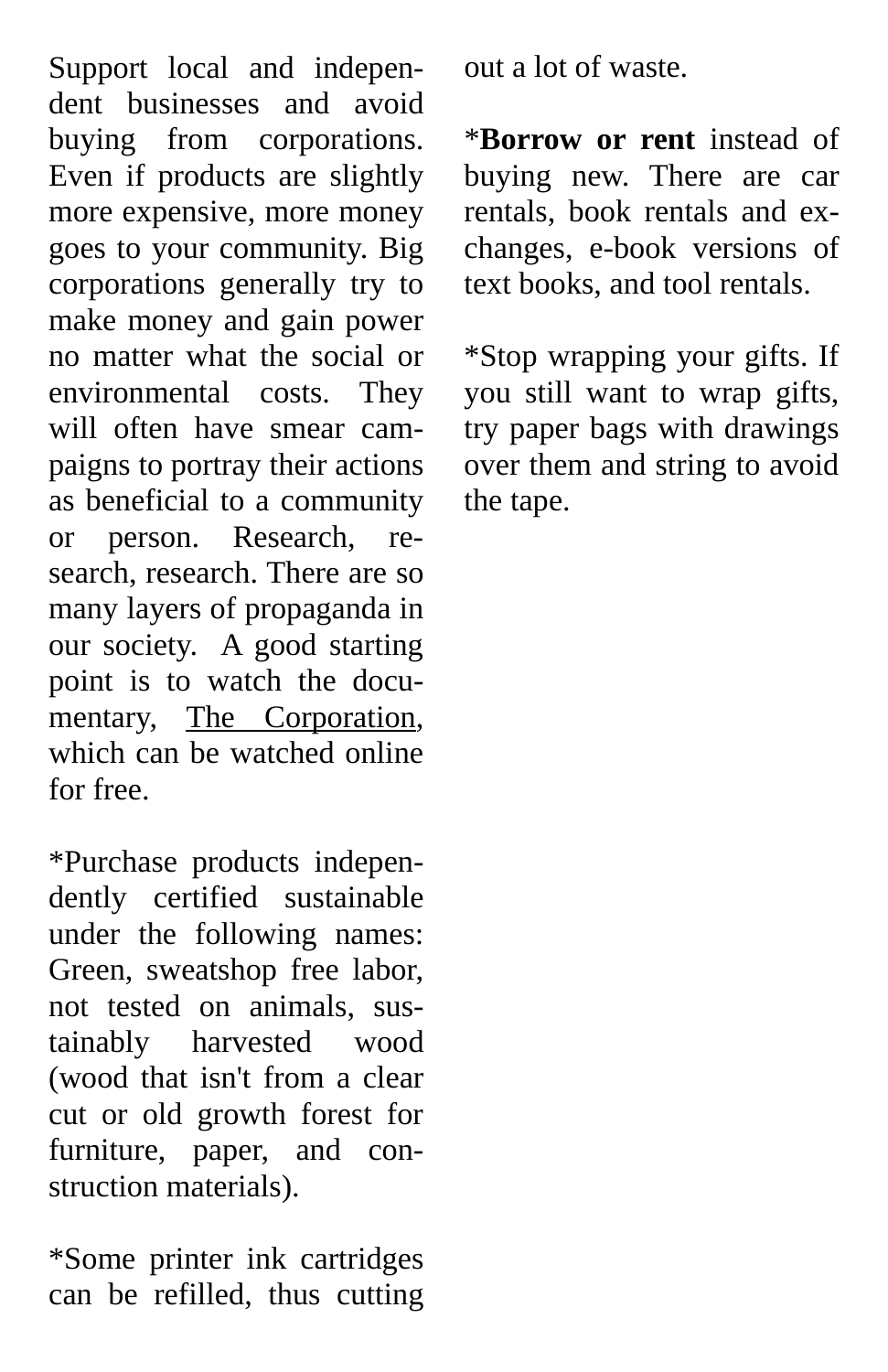Support local and independent businesses and avoid buying from corporations. Even if products are slightly more expensive, more money goes to your community. Big corporations generally try to make money and gain power no matter what the social or environmental costs. They will often have smear campaigns to portray their actions as beneficial to a community or person. Research, research, research. There are so many layers of propaganda in our society. A good starting point is to watch the documentary, The Corporation, which can be watched online for free.

\*Purchase products independently certified sustainable under the following names: Green, sweatshop free labor, not tested on animals, sustainably harvested wood (wood that isn't from a clear cut or old growth forest for furniture, paper, and construction materials).

\*Some printer ink cartridges can be refilled, thus cutting out a lot of waste.

\***Borrow or rent** instead of buying new. There are car rentals, book rentals and exchanges, e-book versions of text books, and tool rentals.

\*Stop wrapping your gifts. If you still want to wrap gifts, try paper bags with drawings over them and string to avoid the tape.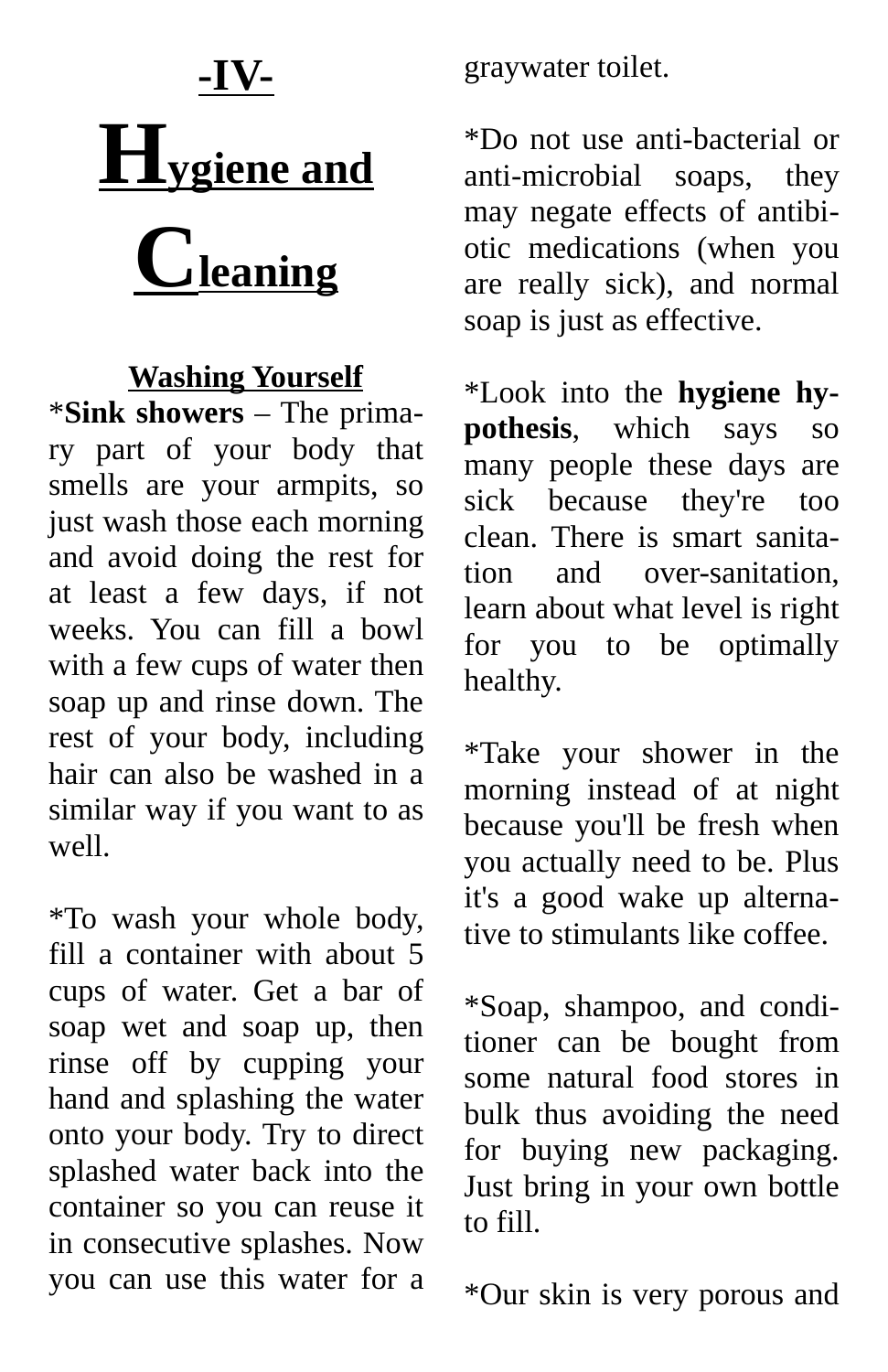### **-IV- Hygiene and Cleaning**

#### **Washing Yourself**

\***Sink showers** – The primary part of your body that smells are your armpits, so just wash those each morning and avoid doing the rest for at least a few days, if not weeks. You can fill a bowl with a few cups of water then soap up and rinse down. The rest of your body, including hair can also be washed in a similar way if you want to as well.

\*To wash your whole body, fill a container with about 5 cups of water. Get a bar of soap wet and soap up, then rinse off by cupping your hand and splashing the water onto your body. Try to direct splashed water back into the container so you can reuse it in consecutive splashes. Now you can use this water for a graywater toilet.

\*Do not use anti-bacterial or anti-microbial soaps, they may negate effects of antibiotic medications (when you are really sick), and normal soap is just as effective.

\*Look into the **hygiene hypothesis**, which says so many people these days are sick because they're too clean. There is smart sanitation and over-sanitation, learn about what level is right for you to be optimally healthy.

\*Take your shower in the morning instead of at night because you'll be fresh when you actually need to be. Plus it's a good wake up alternative to stimulants like coffee.

\*Soap, shampoo, and conditioner can be bought from some natural food stores in bulk thus avoiding the need for buying new packaging. Just bring in your own bottle to fill.

\*Our skin is very porous and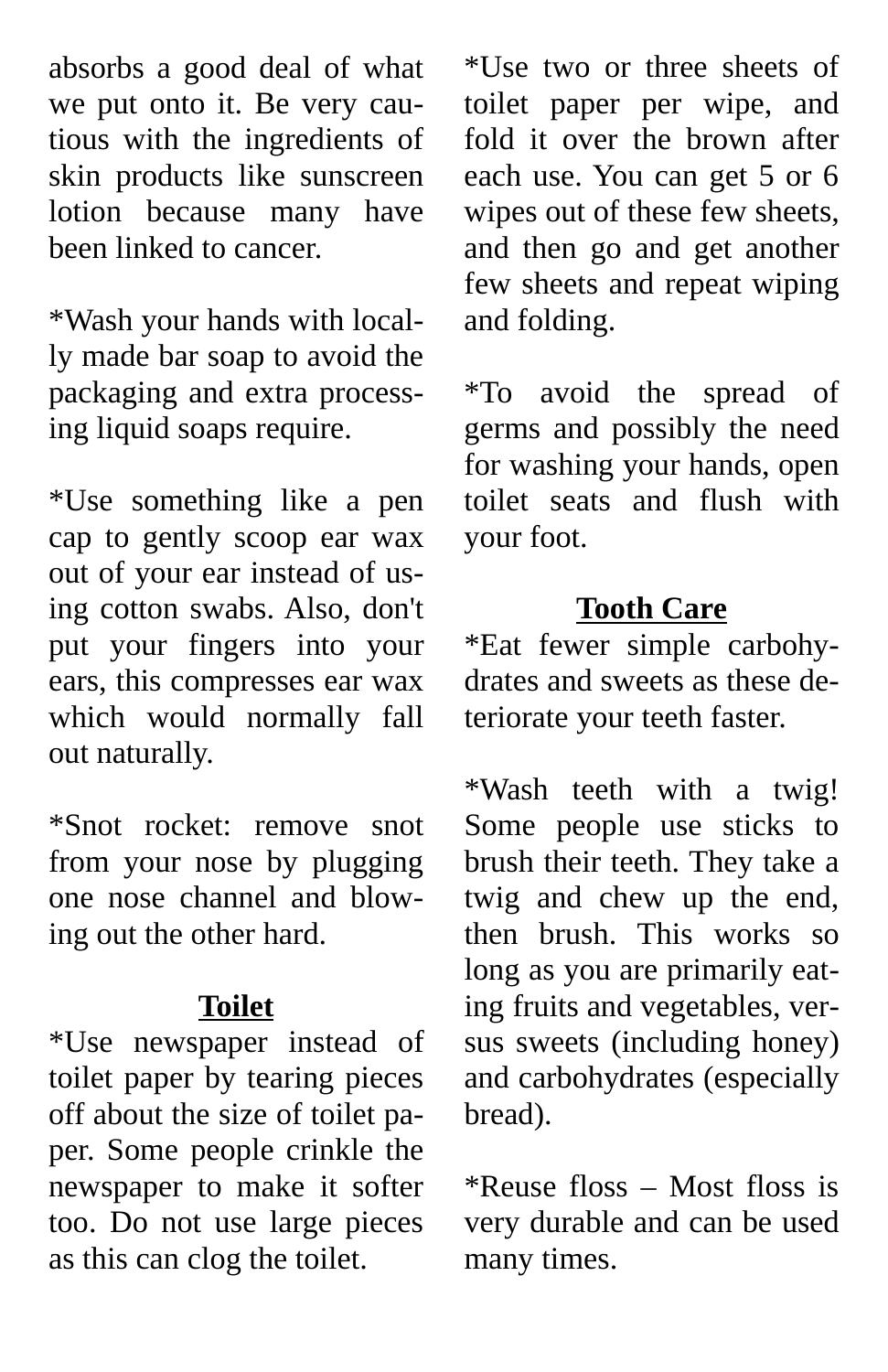absorbs a good deal of what we put onto it. Be very cautious with the ingredients of skin products like sunscreen lotion because many have been linked to cancer.

\*Wash your hands with locally made bar soap to avoid the packaging and extra processing liquid soaps require.

\*Use something like a pen cap to gently scoop ear wax out of your ear instead of using cotton swabs. Also, don't put your fingers into your ears, this compresses ear wax which would normally fall out naturally.

\*Snot rocket: remove snot from your nose by plugging one nose channel and blowing out the other hard.

#### **Toilet**

\*Use newspaper instead of toilet paper by tearing pieces off about the size of toilet paper. Some people crinkle the newspaper to make it softer too. Do not use large pieces as this can clog the toilet.

\*Use two or three sheets of toilet paper per wipe, and fold it over the brown after each use. You can get 5 or 6 wipes out of these few sheets, and then go and get another few sheets and repeat wiping and folding.

\*To avoid the spread of germs and possibly the need for washing your hands, open toilet seats and flush with your foot.

#### **Tooth Care**

\*Eat fewer simple carbohydrates and sweets as these deteriorate your teeth faster.

\*Wash teeth with a twig! Some people use sticks to brush their teeth. They take a twig and chew up the end, then brush. This works so long as you are primarily eating fruits and vegetables, versus sweets (including honey) and carbohydrates (especially bread).

\*Reuse floss – Most floss is very durable and can be used many times.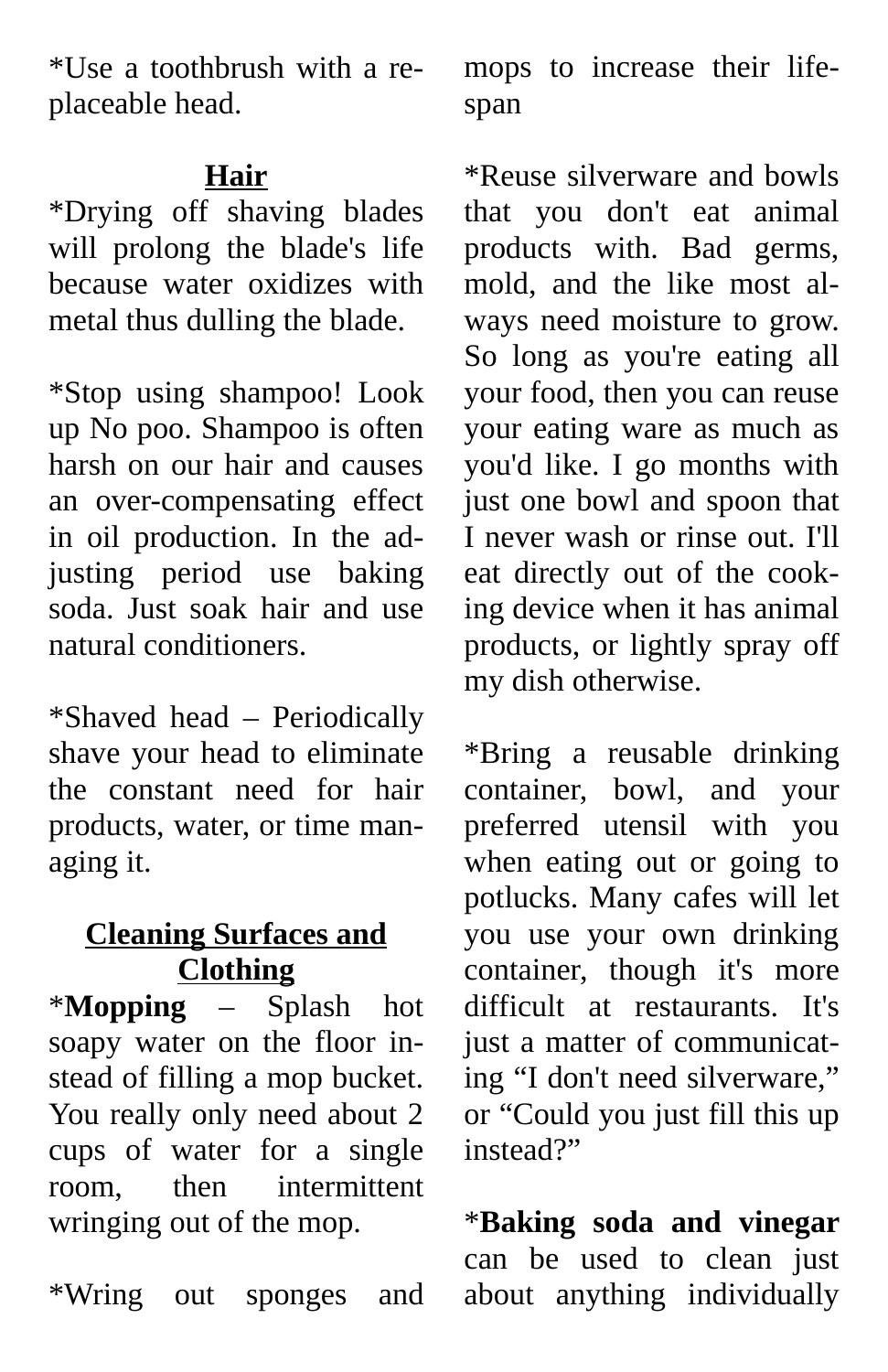\*Use a toothbrush with a replaceable head.

#### **Hair**

\*Drying off shaving blades will prolong the blade's life because water oxidizes with metal thus dulling the blade.

\*Stop using shampoo! Look up No poo. Shampoo is often harsh on our hair and causes an over-compensating effect in oil production. In the adjusting period use baking soda. Just soak hair and use natural conditioners.

\*Shaved head – Periodically shave your head to eliminate the constant need for hair products, water, or time managing it.

#### **Cleaning Surfaces and Clothing**

\***Mopping** – Splash hot soapy water on the floor instead of filling a mop bucket. You really only need about 2 cups of water for a single room, then intermittent wringing out of the mop.

\*Wring out sponges and

mops to increase their lifespan

\*Reuse silverware and bowls that you don't eat animal products with. Bad germs, mold, and the like most always need moisture to grow. So long as you're eating all your food, then you can reuse your eating ware as much as you'd like. I go months with just one bowl and spoon that I never wash or rinse out. I'll eat directly out of the cooking device when it has animal products, or lightly spray off my dish otherwise.

\*Bring a reusable drinking container, bowl, and your preferred utensil with you when eating out or going to potlucks. Many cafes will let you use your own drinking container, though it's more difficult at restaurants. It's just a matter of communicating "I don't need silverware," or "Could you just fill this up instead?"

\***Baking soda and vinegar** can be used to clean just about anything individually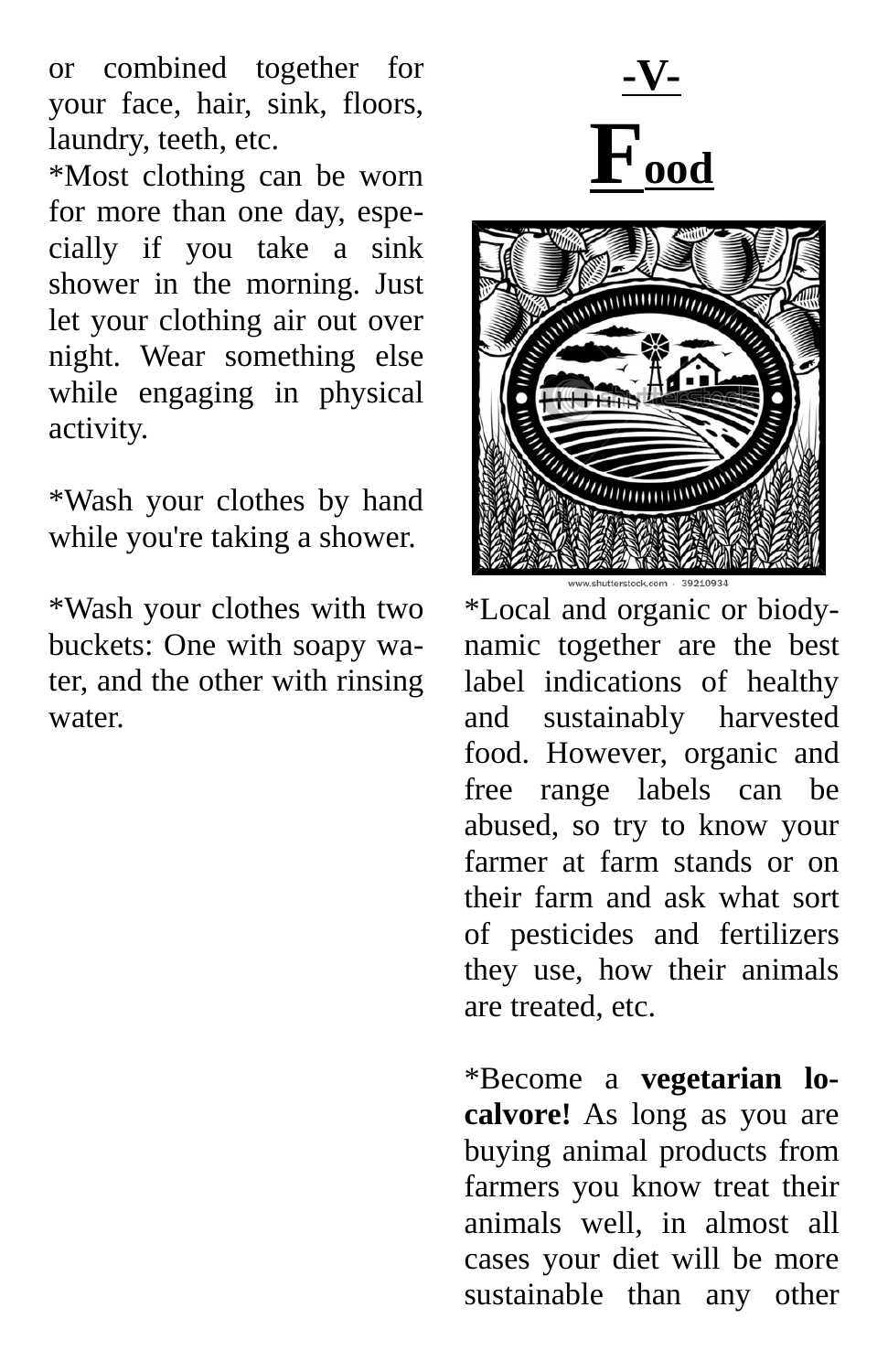or combined together for your face, hair, sink, floors, laundry, teeth, etc.

\*Most clothing can be worn for more than one day, especially if you take a sink shower in the morning. Just let your clothing air out over night. Wear something else while engaging in physical activity.

\*Wash your clothes by hand while you're taking a shower.

\*Wash your clothes with two buckets: One with soapy water, and the other with rinsing water.





\*Local and organic or biodynamic together are the best label indications of healthy and sustainably harvested food. However, organic and free range labels can be abused, so try to know your farmer at farm stands or on their farm and ask what sort of pesticides and fertilizers they use, how their animals are treated, etc.

\*Become a **vegetarian localvore!** As long as you are buying animal products from farmers you know treat their animals well, in almost all cases your diet will be more sustainable than any other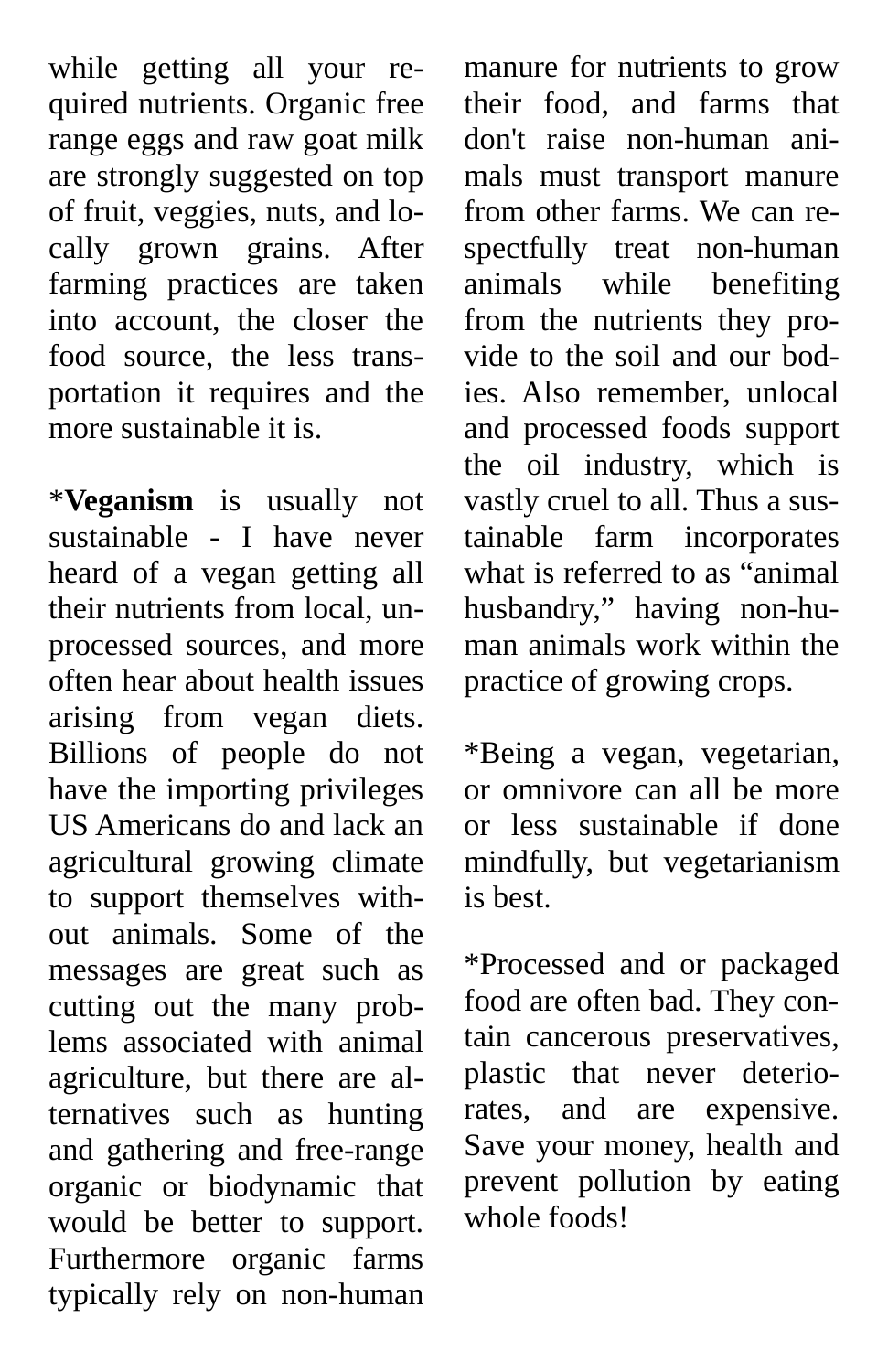while getting all your required nutrients. Organic free range eggs and raw goat milk are strongly suggested on top of fruit, veggies, nuts, and locally grown grains. After farming practices are taken into account, the closer the food source, the less transportation it requires and the more sustainable it is.

\***Veganism** is usually not sustainable - I have never heard of a vegan getting all their nutrients from local, unprocessed sources, and more often hear about health issues arising from vegan diets. Billions of people do not have the importing privileges US Americans do and lack an agricultural growing climate to support themselves without animals. Some of the messages are great such as cutting out the many problems associated with animal agriculture, but there are alternatives such as hunting and gathering and free-range organic or biodynamic that would be better to support. Furthermore organic farms typically rely on non-human

manure for nutrients to grow their food, and farms that don't raise non-human animals must transport manure from other farms. We can respectfully treat non-human animals while benefiting from the nutrients they provide to the soil and our bodies. Also remember, unlocal and processed foods support the oil industry, which is vastly cruel to all. Thus a sustainable farm incorporates what is referred to as "animal husbandry," having non-human animals work within the practice of growing crops.

\*Being a vegan, vegetarian, or omnivore can all be more or less sustainable if done mindfully, but vegetarianism is best.

\*Processed and or packaged food are often bad. They contain cancerous preservatives, plastic that never deteriorates, and are expensive. Save your money, health and prevent pollution by eating whole foods!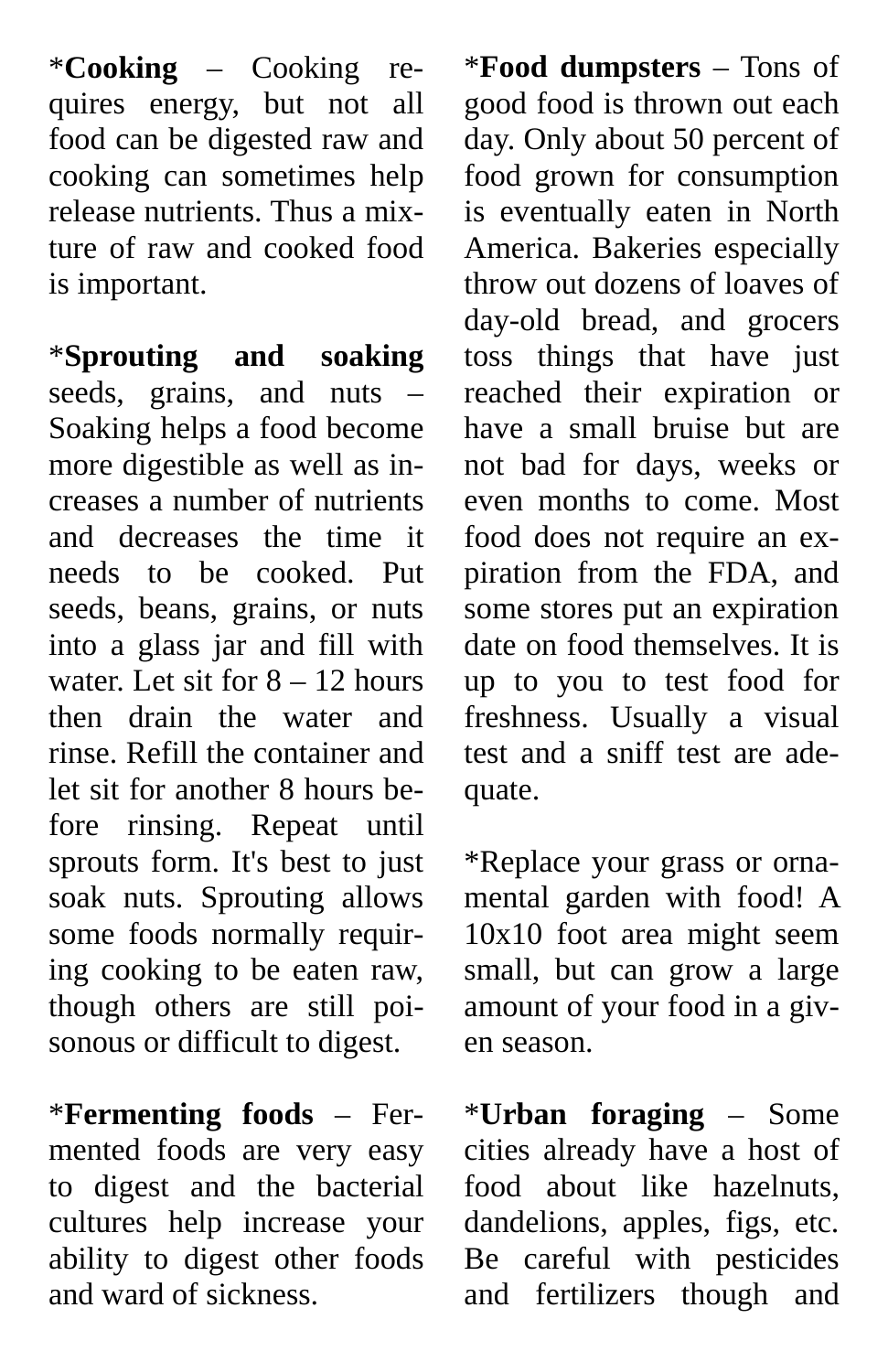\***Cooking** – Cooking requires energy, but not all food can be digested raw and cooking can sometimes help release nutrients. Thus a mixture of raw and cooked food is important.

\***Sprouting and soaking** seeds, grains, and nuts – Soaking helps a food become more digestible as well as increases a number of nutrients and decreases the time it needs to be cooked. Put seeds, beans, grains, or nuts into a glass jar and fill with water. Let sit for  $8 - 12$  hours then drain the water and rinse. Refill the container and let sit for another 8 hours before rinsing. Repeat until sprouts form. It's best to just soak nuts. Sprouting allows some foods normally requiring cooking to be eaten raw, though others are still poisonous or difficult to digest.

\***Fermenting foods** – Fermented foods are very easy to digest and the bacterial cultures help increase your ability to digest other foods and ward of sickness.

\***Food dumpsters** – Tons of good food is thrown out each day. Only about 50 percent of food grown for consumption is eventually eaten in North America. Bakeries especially throw out dozens of loaves of day-old bread, and grocers toss things that have just reached their expiration or have a small bruise but are not bad for days, weeks or even months to come. Most food does not require an expiration from the FDA, and some stores put an expiration date on food themselves. It is up to you to test food for freshness. Usually a visual test and a sniff test are adequate.

\*Replace your grass or ornamental garden with food! A 10x10 foot area might seem small, but can grow a large amount of your food in a given season.

\***Urban foraging** – Some cities already have a host of food about like hazelnuts, dandelions, apples, figs, etc. Be careful with pesticides and fertilizers though and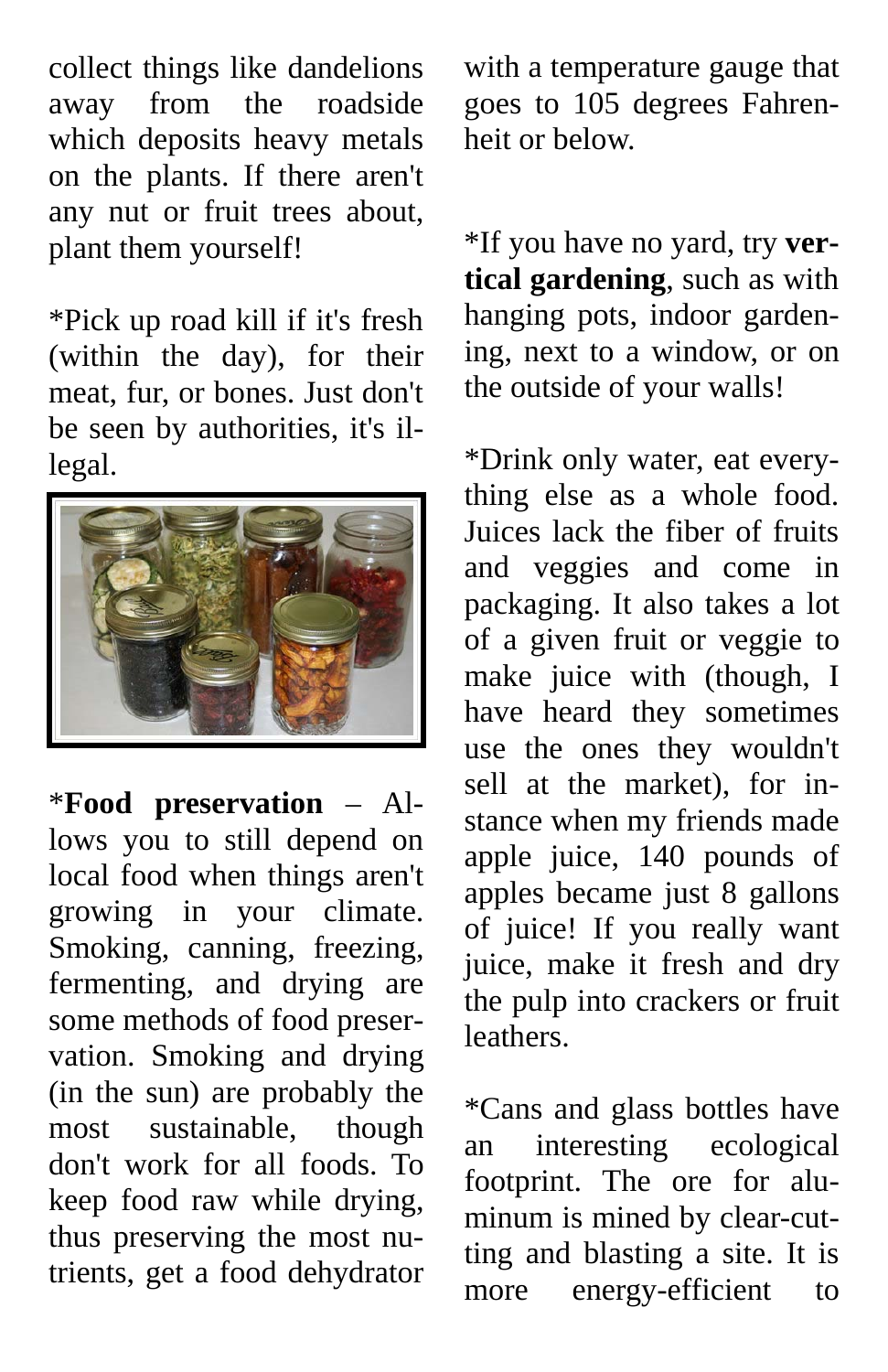collect things like dandelions away from the roadside which deposits heavy metals on the plants. If there aren't any nut or fruit trees about, plant them yourself!

\*Pick up road kill if it's fresh (within the day), for their meat, fur, or bones. Just don't be seen by authorities, it's illegal.



\***Food preservation** – Allows you to still depend on local food when things aren't growing in your climate. Smoking, canning, freezing, fermenting, and drying are some methods of food preservation. Smoking and drying (in the sun) are probably the most sustainable, though don't work for all foods. To keep food raw while drying, thus preserving the most nutrients, get a food dehydrator

with a temperature gauge that goes to 105 degrees Fahrenheit or below.

\*If you have no yard, try **vertical gardening**, such as with hanging pots, indoor gardening, next to a window, or on the outside of your walls!

\*Drink only water, eat everything else as a whole food. Juices lack the fiber of fruits and veggies and come in packaging. It also takes a lot of a given fruit or veggie to make juice with (though, I have heard they sometimes use the ones they wouldn't sell at the market), for instance when my friends made apple juice, 140 pounds of apples became just 8 gallons of juice! If you really want juice, make it fresh and dry the pulp into crackers or fruit **leathers** 

\*Cans and glass bottles have an interesting ecological footprint. The ore for aluminum is mined by clear-cutting and blasting a site. It is more energy-efficient to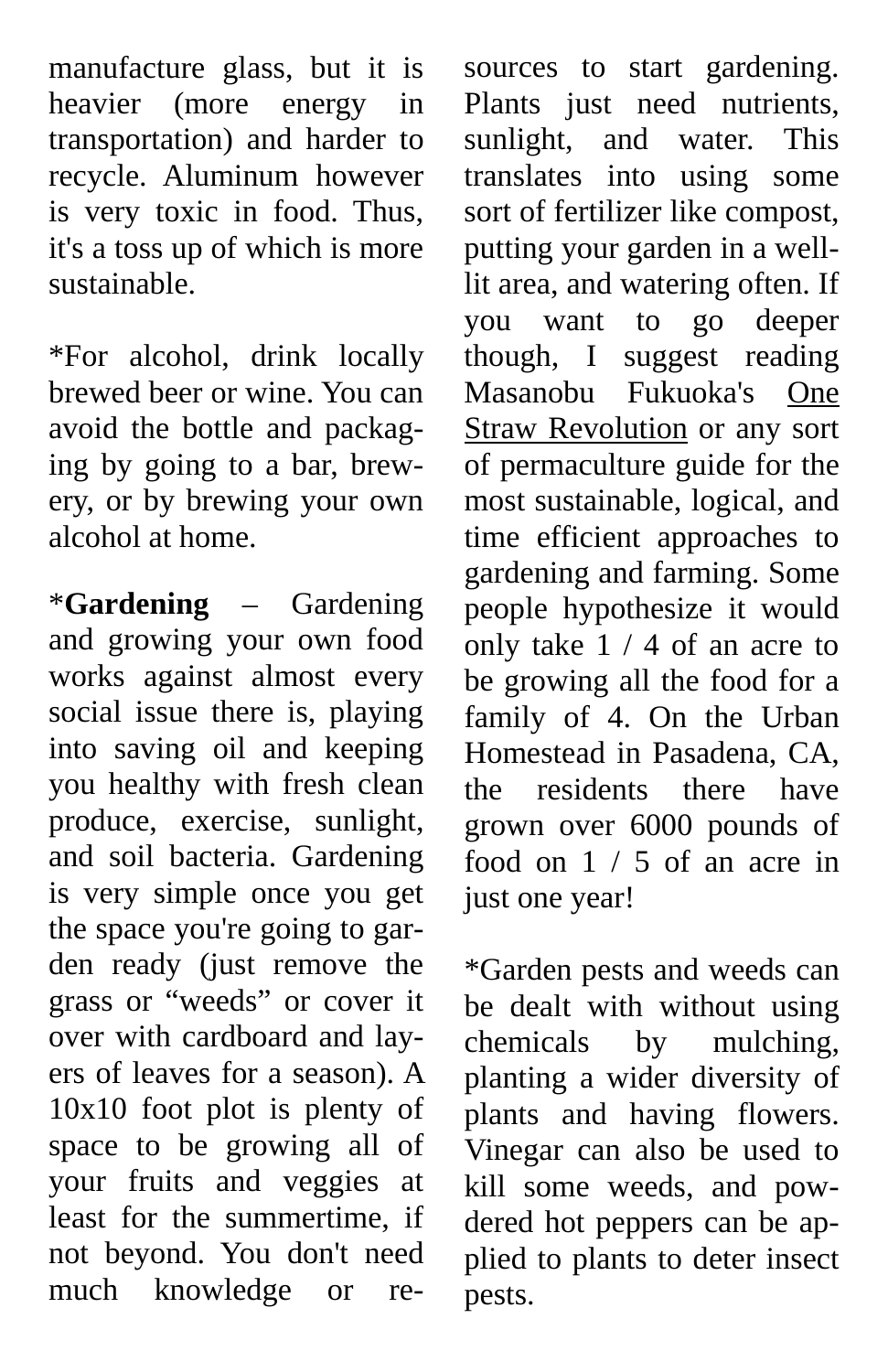manufacture glass, but it is heavier (more energy in transportation) and harder to recycle. Aluminum however is very toxic in food. Thus, it's a toss up of which is more sustainable.

\*For alcohol, drink locally brewed beer or wine. You can avoid the bottle and packaging by going to a bar, brewery, or by brewing your own alcohol at home.

\***Gardening** – Gardening and growing your own food works against almost every social issue there is, playing into saving oil and keeping you healthy with fresh clean produce, exercise, sunlight, and soil bacteria. Gardening is very simple once you get the space you're going to garden ready (just remove the grass or "weeds" or cover it over with cardboard and layers of leaves for a season). A 10x10 foot plot is plenty of space to be growing all of your fruits and veggies at least for the summertime, if not beyond. You don't need much knowledge or re-

sources to start gardening. Plants just need nutrients, sunlight, and water. This translates into using some sort of fertilizer like compost, putting your garden in a welllit area, and watering often. If you want to go deeper though, I suggest reading Masanobu Fukuoka's One Straw Revolution or any sort of permaculture guide for the most sustainable, logical, and time efficient approaches to gardening and farming. Some people hypothesize it would only take 1 / 4 of an acre to be growing all the food for a family of 4. On the Urban Homestead in Pasadena, CA, the residents there have grown over 6000 pounds of food on 1 / 5 of an acre in just one year!

\*Garden pests and weeds can be dealt with without using chemicals by mulching, planting a wider diversity of plants and having flowers. Vinegar can also be used to kill some weeds, and powdered hot peppers can be applied to plants to deter insect pests.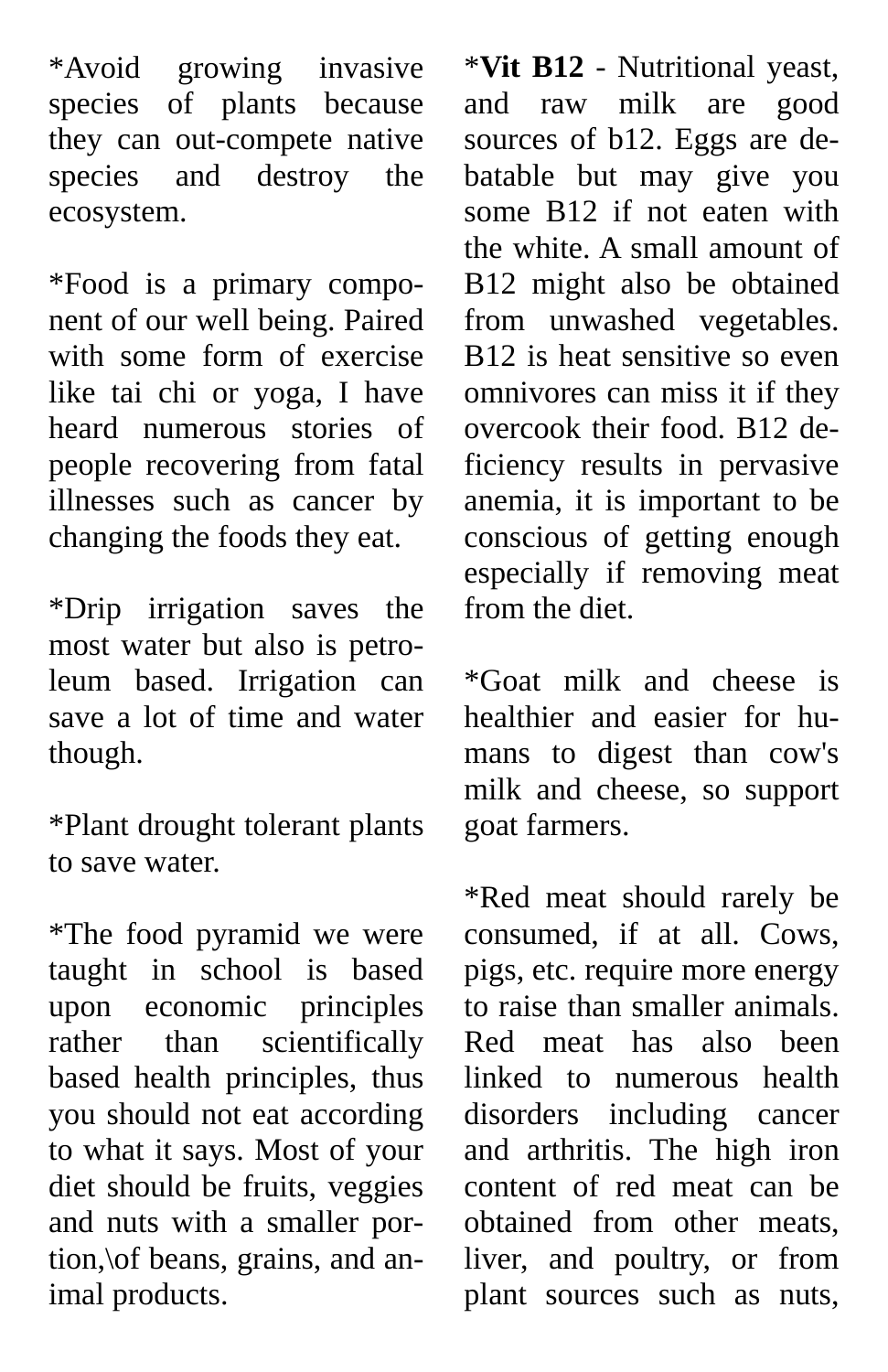\*Avoid growing invasive species of plants because they can out-compete native species and destroy the ecosystem.

\*Food is a primary component of our well being. Paired with some form of exercise like tai chi or yoga, I have heard numerous stories of people recovering from fatal illnesses such as cancer by changing the foods they eat.

\*Drip irrigation saves the most water but also is petroleum based. Irrigation can save a lot of time and water though.

\*Plant drought tolerant plants to save water.

\*The food pyramid we were taught in school is based upon economic principles rather than scientifically based health principles, thus you should not eat according to what it says. Most of your diet should be fruits, veggies and nuts with a smaller portion,\of beans, grains, and animal products.

\***Vit B12** - Nutritional yeast, and raw milk are good sources of b12. Eggs are debatable but may give you some B12 if not eaten with the white. A small amount of B12 might also be obtained from unwashed vegetables. B12 is heat sensitive so even omnivores can miss it if they overcook their food. B12 deficiency results in pervasive anemia, it is important to be conscious of getting enough especially if removing meat from the diet.

\*Goat milk and cheese is healthier and easier for humans to digest than cow's milk and cheese, so support goat farmers.

\*Red meat should rarely be consumed, if at all. Cows, pigs, etc. require more energy to raise than smaller animals. Red meat has also been linked to numerous health disorders including cancer and arthritis. The high iron content of red meat can be obtained from other meats, liver, and poultry, or from plant sources such as nuts,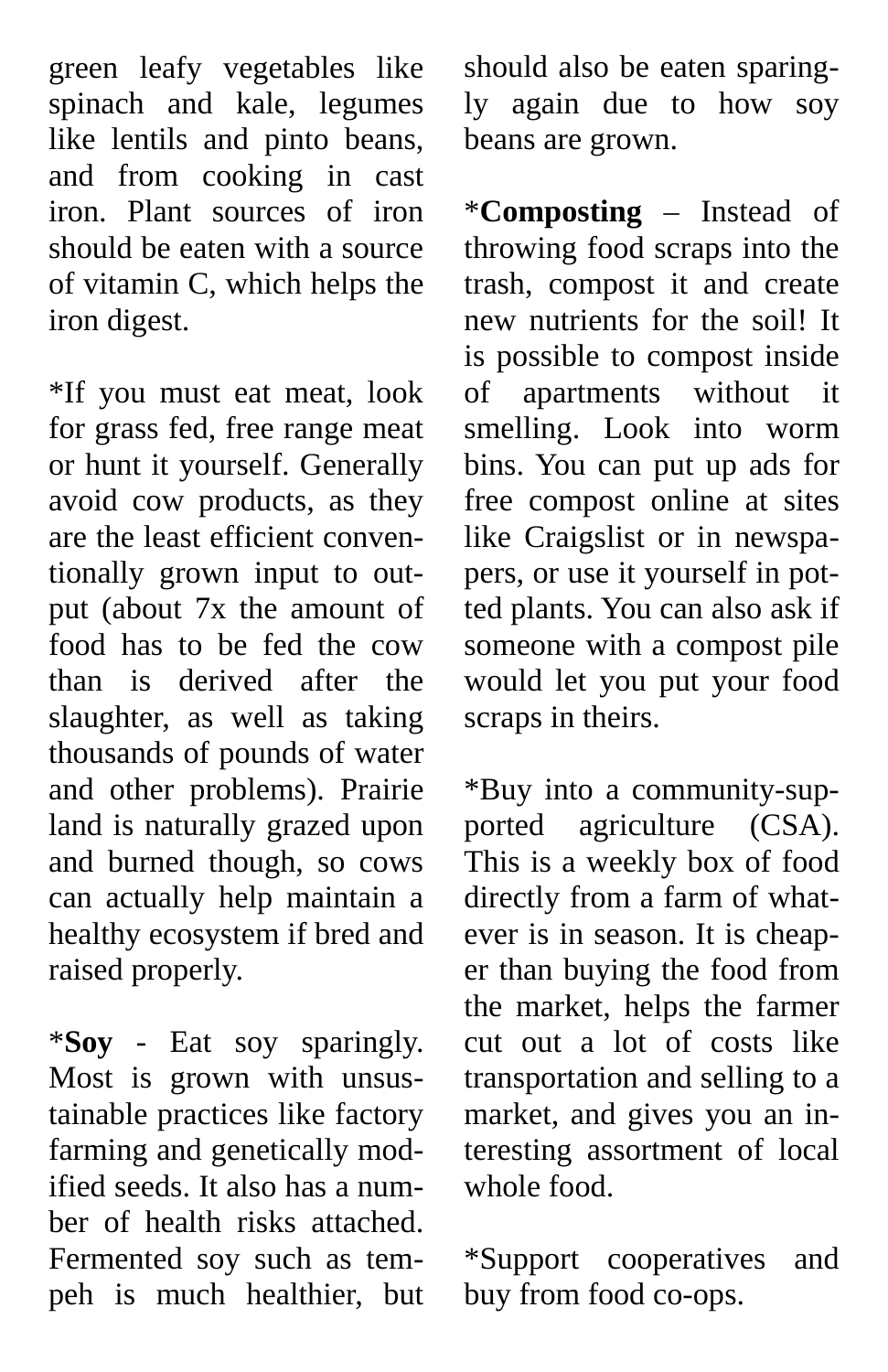green leafy vegetables like spinach and kale, legumes like lentils and pinto beans, and from cooking in cast iron. Plant sources of iron should be eaten with a source of vitamin C, which helps the iron digest.

\*If you must eat meat, look for grass fed, free range meat or hunt it yourself. Generally avoid cow products, as they are the least efficient conventionally grown input to output (about 7x the amount of food has to be fed the cow than is derived after the slaughter, as well as taking thousands of pounds of water and other problems). Prairie land is naturally grazed upon and burned though, so cows can actually help maintain a healthy ecosystem if bred and raised properly.

\***Soy** - Eat soy sparingly. Most is grown with unsustainable practices like factory farming and genetically modified seeds. It also has a number of health risks attached. Fermented soy such as tempeh is much healthier, but

should also be eaten sparingly again due to how soy beans are grown.

\***Composting** – Instead of throwing food scraps into the trash, compost it and create new nutrients for the soil! It is possible to compost inside of apartments without it smelling. Look into worm bins. You can put up ads for free compost online at sites like Craigslist or in newspapers, or use it yourself in potted plants. You can also ask if someone with a compost pile would let you put your food scraps in theirs.

\*Buy into a community-supported agriculture (CSA). This is a weekly box of food directly from a farm of whatever is in season. It is cheaper than buying the food from the market, helps the farmer cut out a lot of costs like transportation and selling to a market, and gives you an interesting assortment of local whole food.

\*Support cooperatives and buy from food co-ops.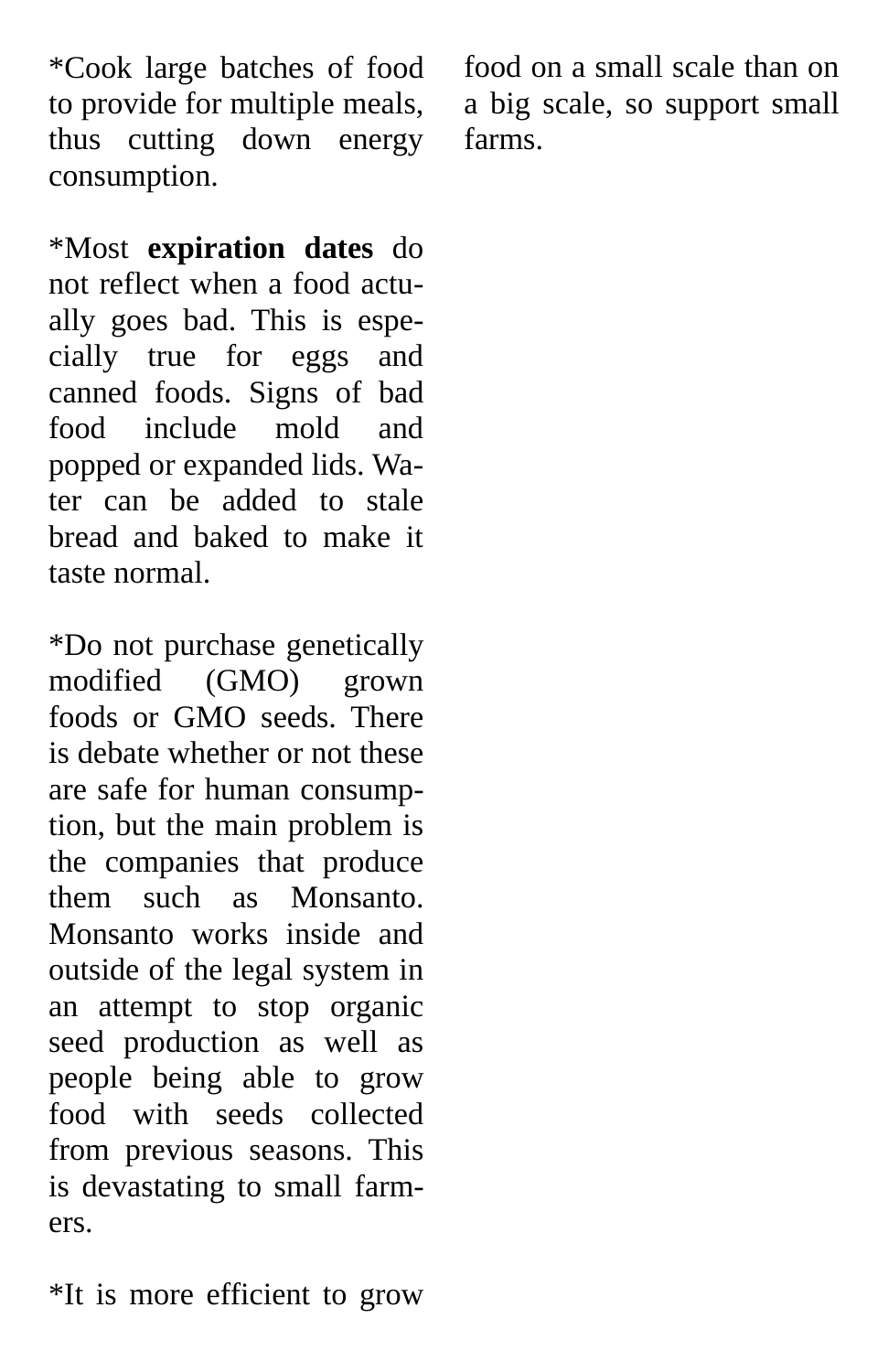\*Cook large batches of food to provide for multiple meals, thus cutting down energy consumption.

\*Most **expiration dates** do not reflect when a food actually goes bad. This is especially true for eggs and canned foods. Signs of bad food include mold and popped or expanded lids. Water can be added to stale bread and baked to make it taste normal.

\*Do not purchase genetically modified (GMO) grown foods or GMO seeds. There is debate whether or not these are safe for human consumption, but the main problem is the companies that produce them such as Monsanto. Monsanto works inside and outside of the legal system in an attempt to stop organic seed production as well as people being able to grow food with seeds collected from previous seasons. This is devastating to small farmers.

food on a small scale than on a big scale, so support small farms.

\*It is more efficient to grow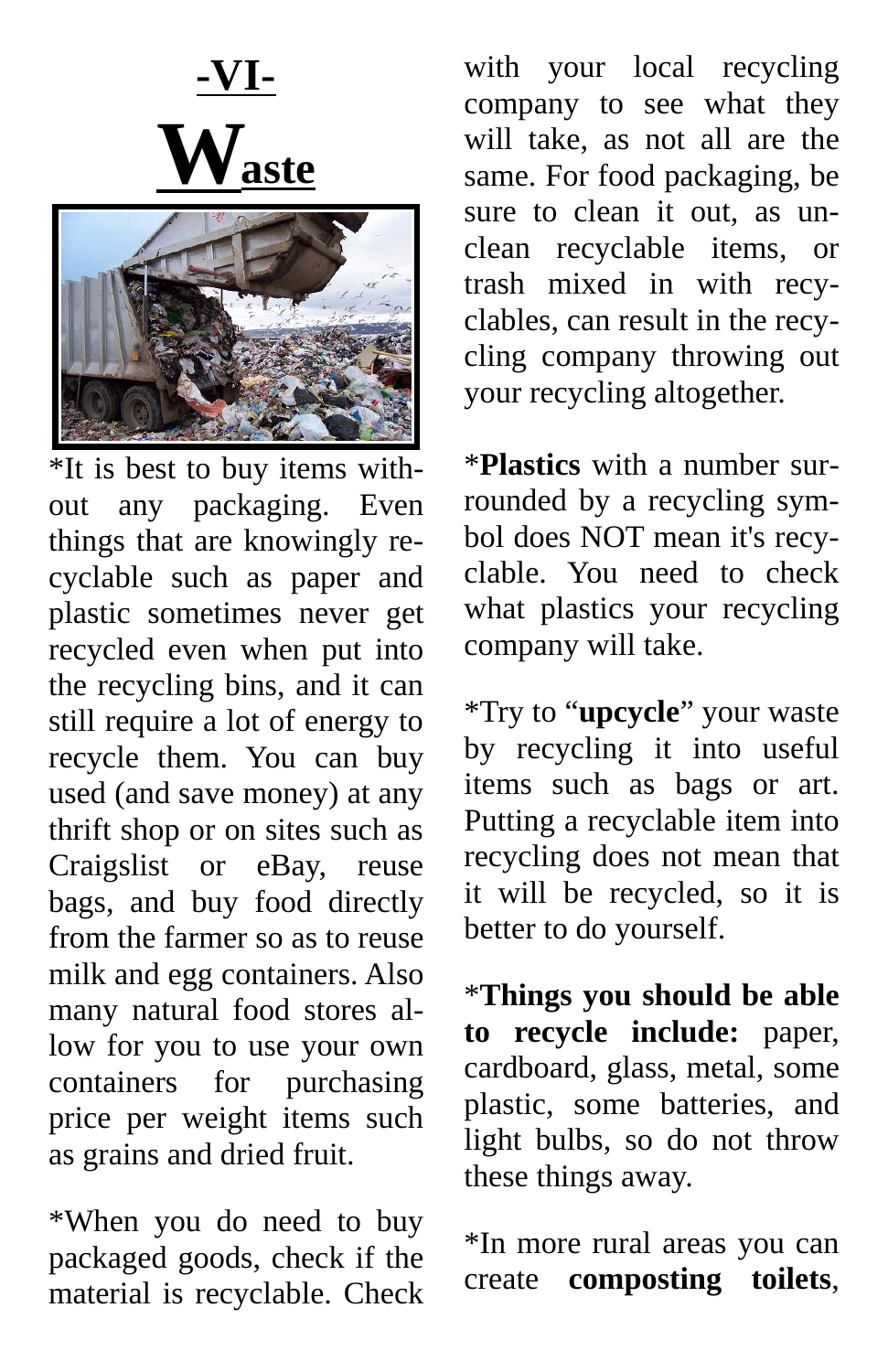**-VI-** $\mathbf{W}_{\text{aste}}$ 



\*It is best to buy items without any packaging. Even things that are knowingly recyclable such as paper and plastic sometimes never get recycled even when put into the recycling bins, and it can still require a lot of energy to recycle them. You can buy used (and save money) at any thrift shop or on sites such as Craigslist or eBay, reuse bags, and buy food directly from the farmer so as to reuse milk and egg containers. Also many natural food stores allow for you to use your own containers for purchasing price per weight items such as grains and dried fruit.

\*When you do need to buy packaged goods, check if the material is recyclable. Check

with your local recycling company to see what they will take, as not all are the same. For food packaging, be sure to clean it out, as unclean recyclable items, or trash mixed in with recyclables, can result in the recycling company throwing out your recycling altogether.

\***Plastics** with a number surrounded by a recycling symbol does NOT mean it's recyclable. You need to check what plastics your recycling company will take.

\*Try to "**upcycle**" your waste by recycling it into useful items such as bags or art. Putting a recyclable item into recycling does not mean that it will be recycled, so it is better to do yourself.

\***Things you should be able to recycle include:** paper, cardboard, glass, metal, some plastic, some batteries, and light bulbs, so do not throw these things away.

\*In more rural areas you can create **composting toilets**,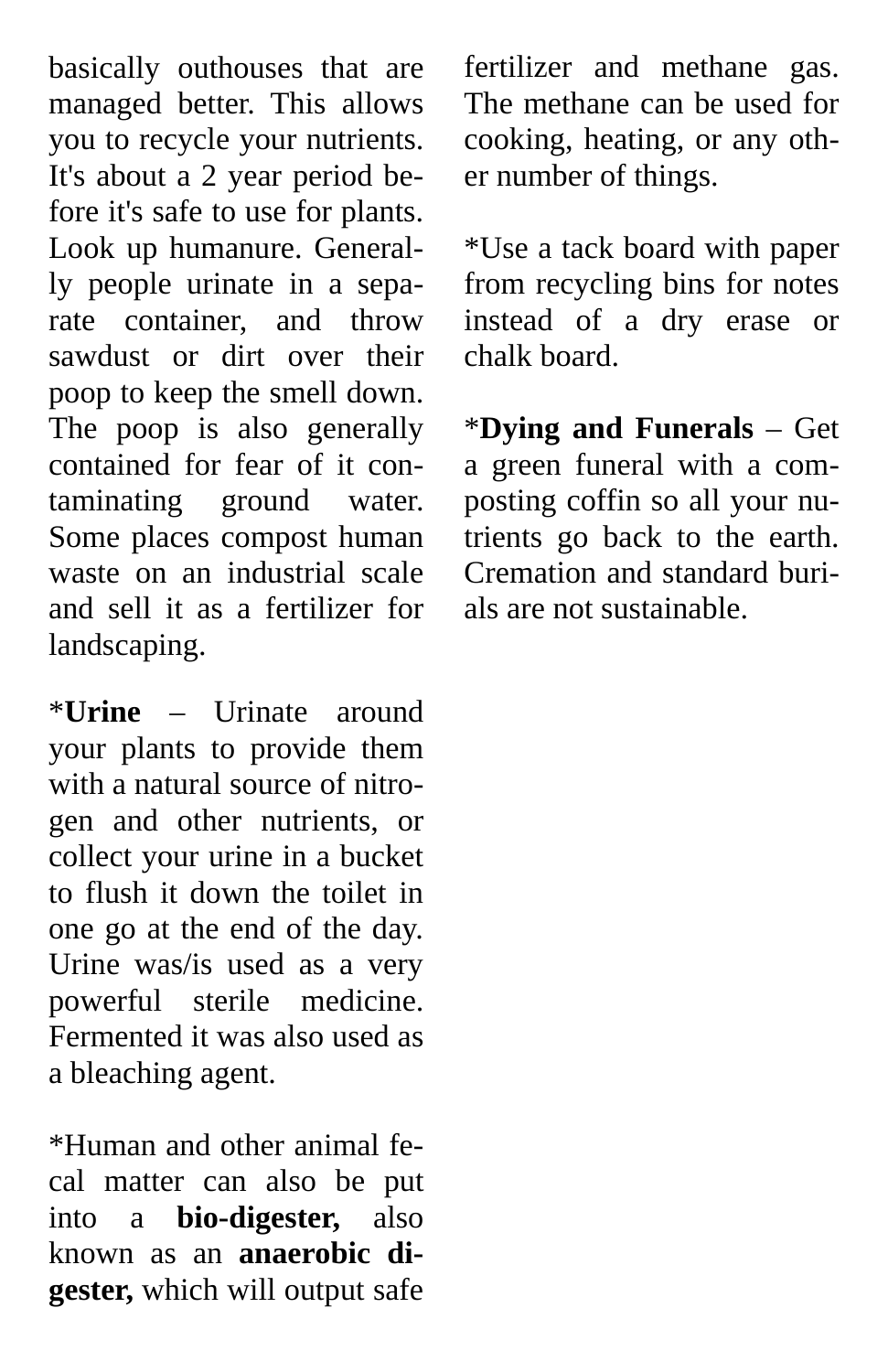basically outhouses that are managed better. This allows you to recycle your nutrients. It's about a 2 year period before it's safe to use for plants. Look up humanure. Generally people urinate in a separate container, and throw sawdust or dirt over their poop to keep the smell down. The poop is also generally contained for fear of it contaminating ground water. Some places compost human waste on an industrial scale and sell it as a fertilizer for landscaping.

\***Urine** – Urinate around your plants to provide them with a natural source of nitrogen and other nutrients, or collect your urine in a bucket to flush it down the toilet in one go at the end of the day. Urine was/is used as a very powerful sterile medicine. Fermented it was also used as a bleaching agent.

\*Human and other animal fecal matter can also be put into a **bio-digester,** also known as an **anaerobic digester,** which will output safe

fertilizer and methane gas. The methane can be used for cooking, heating, or any other number of things.

\*Use a tack board with paper from recycling bins for notes instead of a dry erase or chalk board.

\***Dying and Funerals** – Get a green funeral with a composting coffin so all your nutrients go back to the earth. Cremation and standard burials are not sustainable.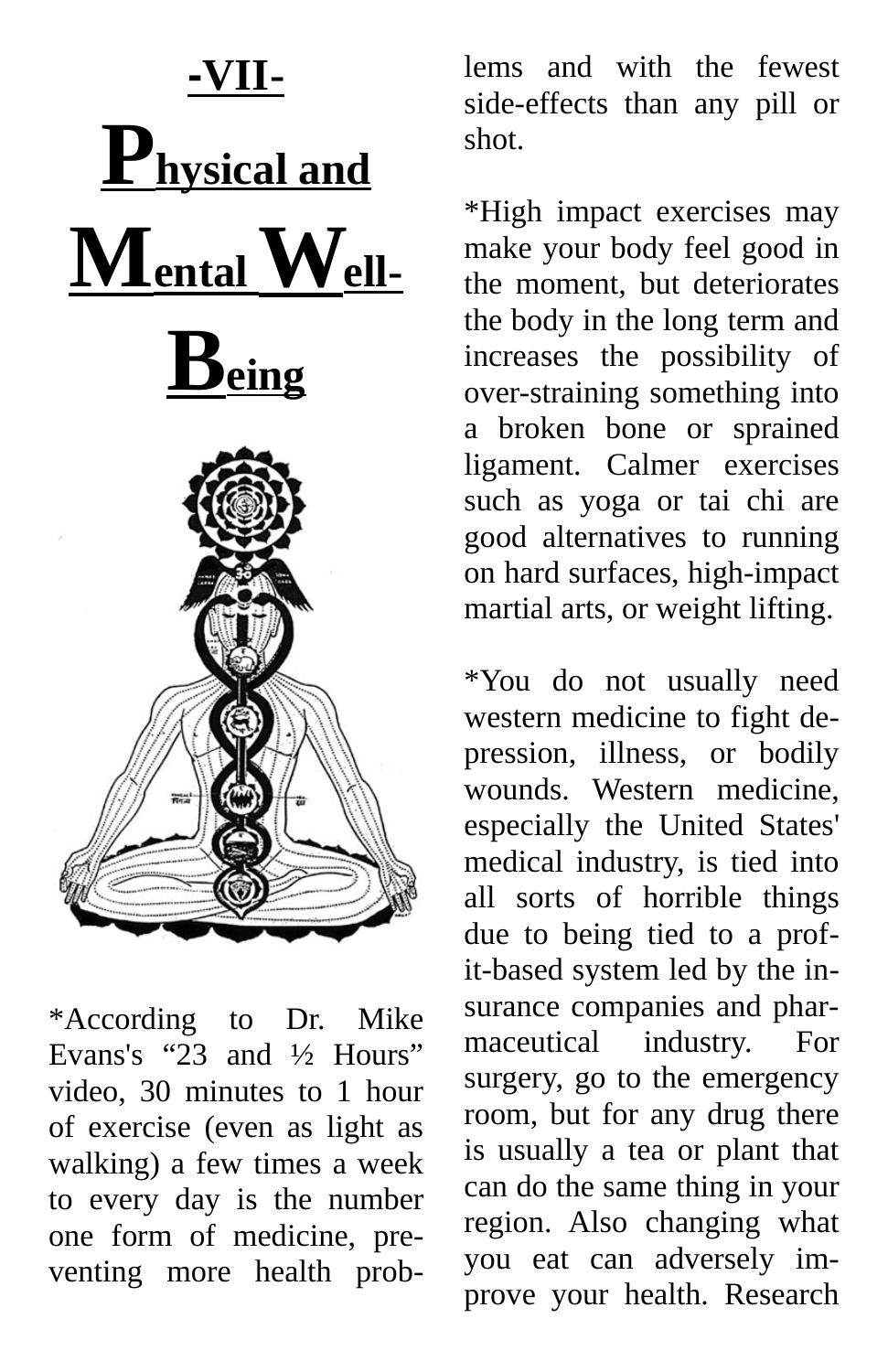

\*According to Dr. Mike Evans's "23 and ½ Hours" video, 30 minutes to 1 hour of exercise (even as light as walking) a few times a week to every day is the number one form of medicine, preventing more health prob-

lems and with the fewest side-effects than any pill or shot.

\*High impact exercises may make your body feel good in the moment, but deteriorates the body in the long term and increases the possibility of over-straining something into a broken bone or sprained ligament. Calmer exercises such as yoga or tai chi are good alternatives to running on hard surfaces, high-impact martial arts, or weight lifting.

\*You do not usually need western medicine to fight depression, illness, or bodily wounds. Western medicine, especially the United States' medical industry, is tied into all sorts of horrible things due to being tied to a profit-based system led by the insurance companies and pharmaceutical industry. For surgery, go to the emergency room, but for any drug there is usually a tea or plant that can do the same thing in your region. Also changing what you eat can adversely improve your health. Research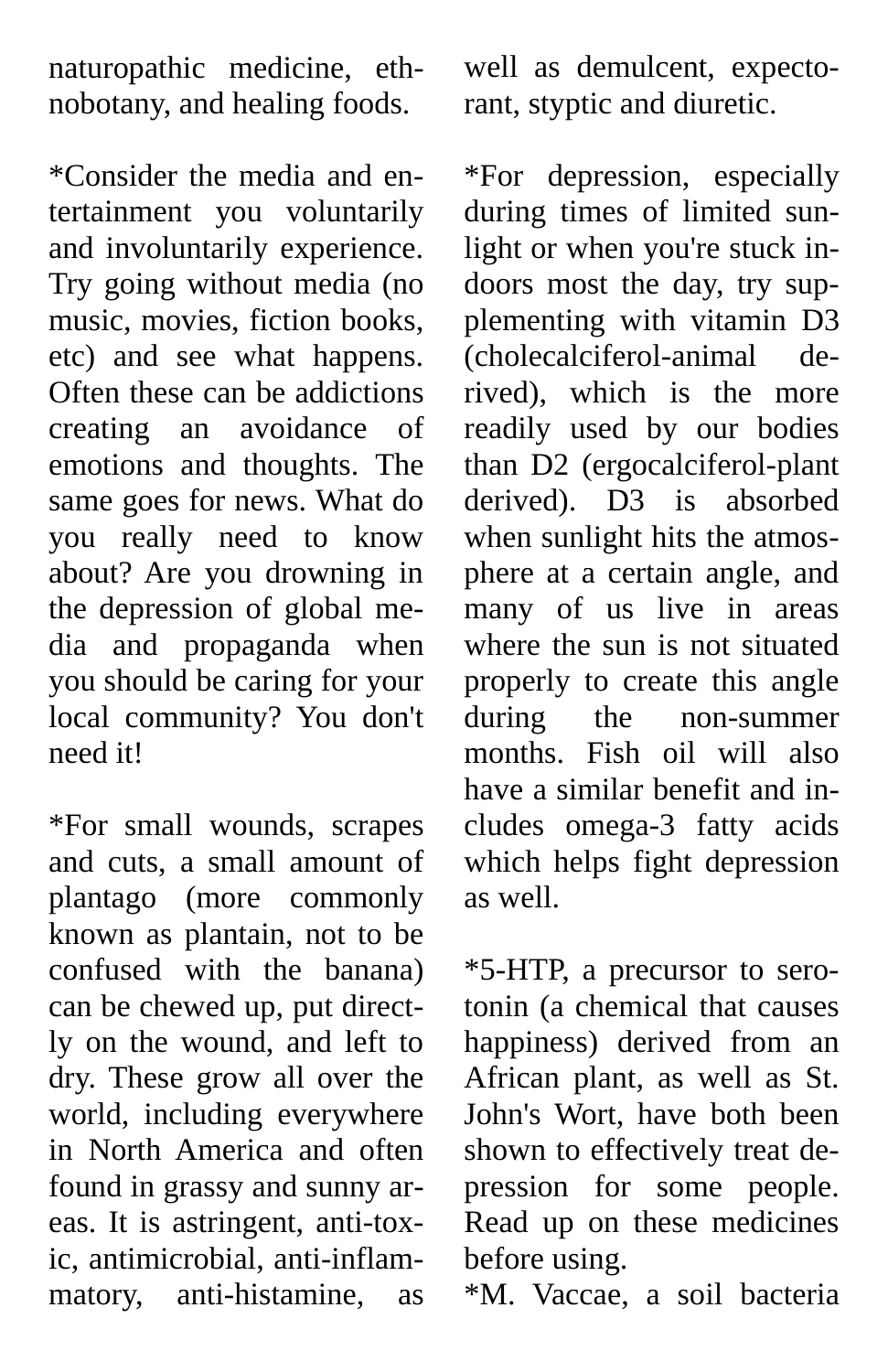naturopathic medicine, ethnobotany, and healing foods.

\*Consider the media and entertainment you voluntarily and involuntarily experience. Try going without media (no music, movies, fiction books, etc) and see what happens. Often these can be addictions creating an avoidance of emotions and thoughts. The same goes for news. What do you really need to know about? Are you drowning in the depression of global media and propaganda when you should be caring for your local community? You don't need it!

\*For small wounds, scrapes and cuts, a small amount of plantago (more commonly known as plantain, not to be confused with the banana) can be chewed up, put directly on the wound, and left to dry. These grow all over the world, including everywhere in North America and often found in grassy and sunny areas. It is astringent, anti-toxic, antimicrobial, anti-inflammatory, anti-histamine, as

well as demulcent, expectorant, styptic and diuretic.

\*For depression, especially during times of limited sunlight or when you're stuck indoors most the day, try supplementing with vitamin D3 (cholecalciferol-animal derived), which is the more readily used by our bodies than D2 (ergocalciferol-plant derived). D3 is absorbed when sunlight hits the atmosphere at a certain angle, and many of us live in areas where the sun is not situated properly to create this angle during the non-summer months. Fish oil will also have a similar benefit and includes omega-3 fatty acids which helps fight depression as well.

\*5-HTP, a precursor to serotonin (a chemical that causes happiness) derived from an African plant, as well as St. John's Wort, have both been shown to effectively treat depression for some people. Read up on these medicines before using.

\*M. Vaccae, a soil bacteria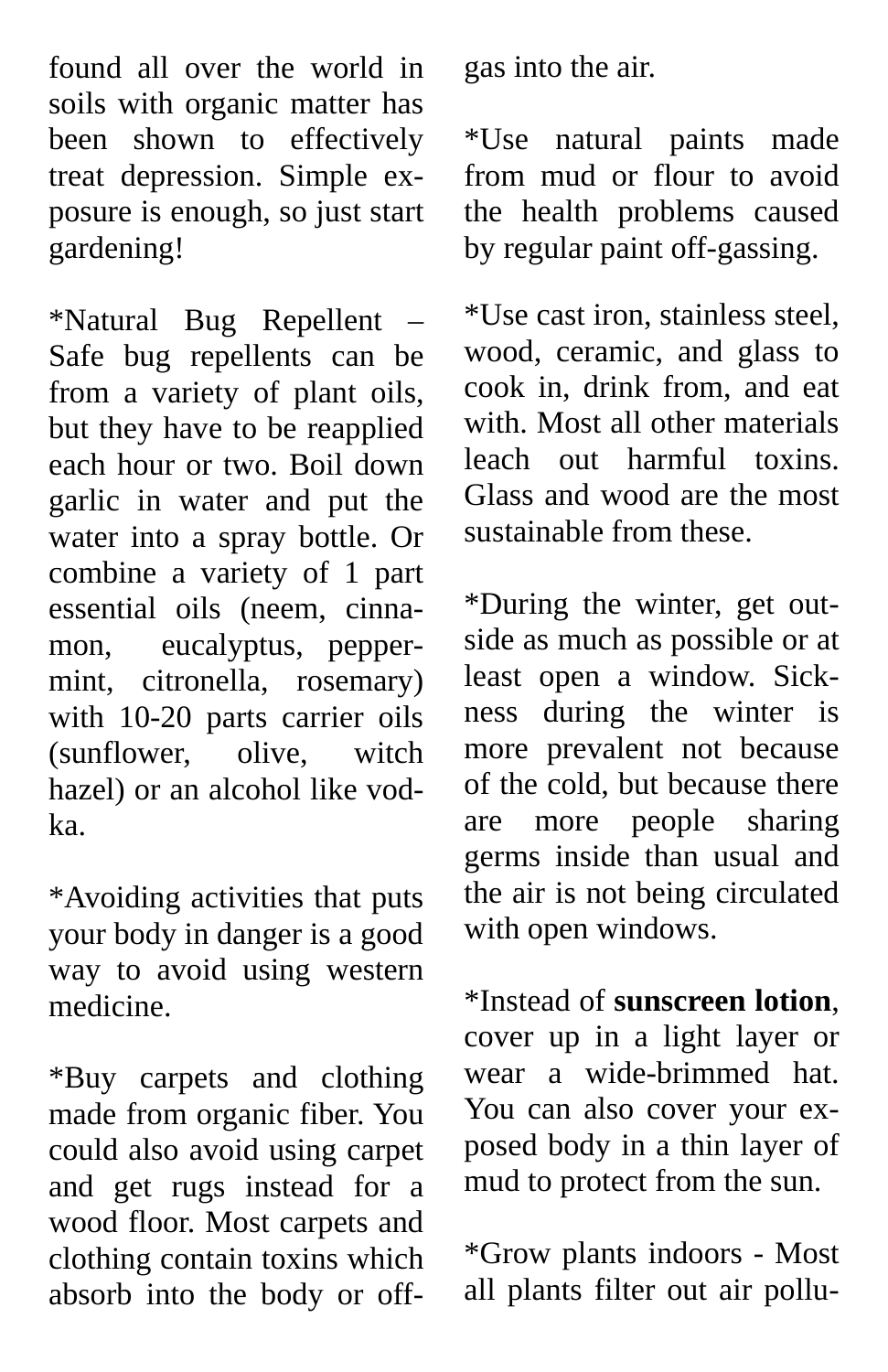found all over the world in soils with organic matter has been shown to effectively treat depression. Simple exposure is enough, so just start gardening!

\*Natural Bug Repellent – Safe bug repellents can be from a variety of plant oils, but they have to be reapplied each hour or two. Boil down garlic in water and put the water into a spray bottle. Or combine a variety of 1 part essential oils (neem, cinnamon, eucalyptus, peppermint, citronella, rosemary) with 10-20 parts carrier oils (sunflower, olive, witch hazel) or an alcohol like vodka.

\*Avoiding activities that puts your body in danger is a good way to avoid using western medicine.

\*Buy carpets and clothing made from organic fiber. You could also avoid using carpet and get rugs instead for a wood floor. Most carpets and clothing contain toxins which absorb into the body or offgas into the air.

\*Use natural paints made from mud or flour to avoid the health problems caused by regular paint off-gassing.

\*Use cast iron, stainless steel, wood, ceramic, and glass to cook in, drink from, and eat with. Most all other materials leach out harmful toxins. Glass and wood are the most sustainable from these.

\*During the winter, get outside as much as possible or at least open a window. Sickness during the winter is more prevalent not because of the cold, but because there are more people sharing germs inside than usual and the air is not being circulated with open windows.

\*Instead of **sunscreen lotion**, cover up in a light layer or wear a wide-brimmed hat. You can also cover your exposed body in a thin layer of mud to protect from the sun.

\*Grow plants indoors - Most all plants filter out air pollu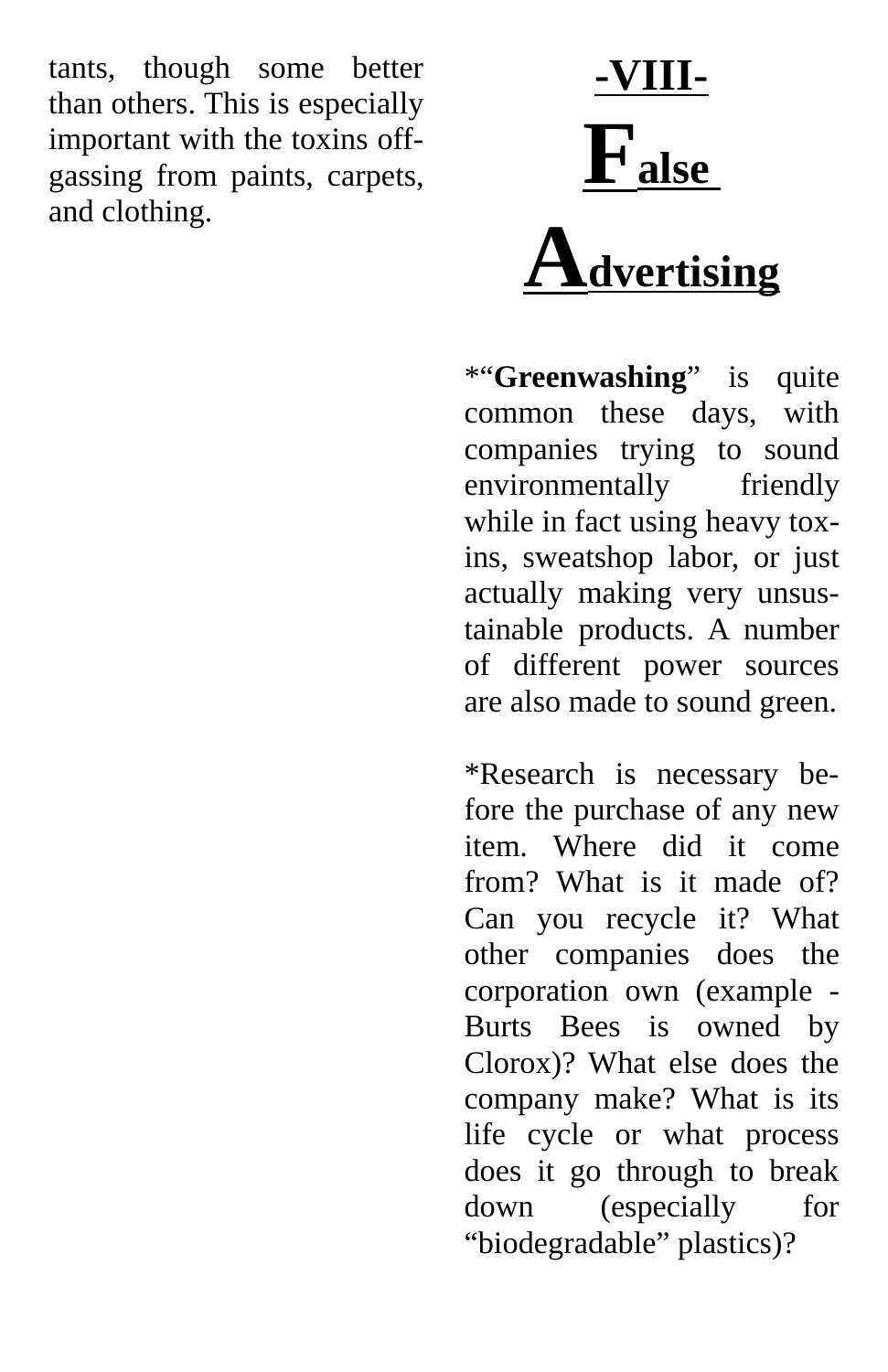tants, though some better than others. This is especially important with the toxins offgassing from paints, carpets, and clothing.

**-VIII-**  $\mathbf{F}_{\text{alse}}$ 

## **Advertising**

\*"**Greenwashing**" is quite common these days, with companies trying to sound environmentally friendly while in fact using heavy toxins, sweatshop labor, or just actually making very unsustainable products. A number of different power sources are also made to sound green.

\*Research is necessary before the purchase of any new item. Where did it come from? What is it made of? Can you recycle it? What other companies does the corporation own (example - Burts Bees is owned by Clorox)? What else does the company make? What is its life cycle or what process does it go through to break down (especially for "biodegradable" plastics)?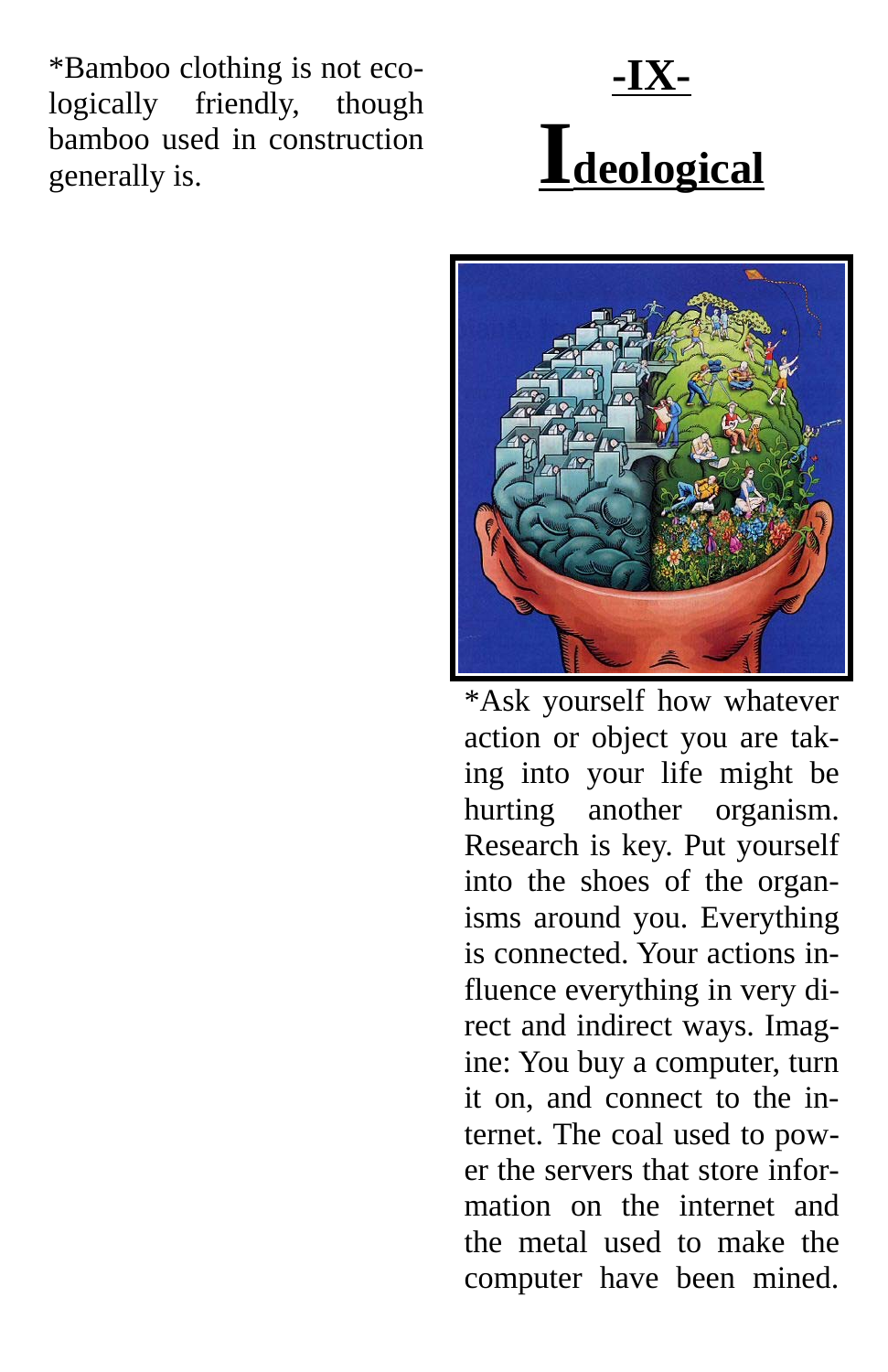\*Bamboo clothing is not ecologically friendly, though bamboo used in construction generally is.





\*Ask yourself how whatever action or object you are taking into your life might be hurting another organism. Research is key. Put yourself into the shoes of the organisms around you. Everything is connected. Your actions influence everything in very direct and indirect ways. Imagine: You buy a computer, turn it on, and connect to the internet. The coal used to power the servers that store information on the internet and the metal used to make the computer have been mined.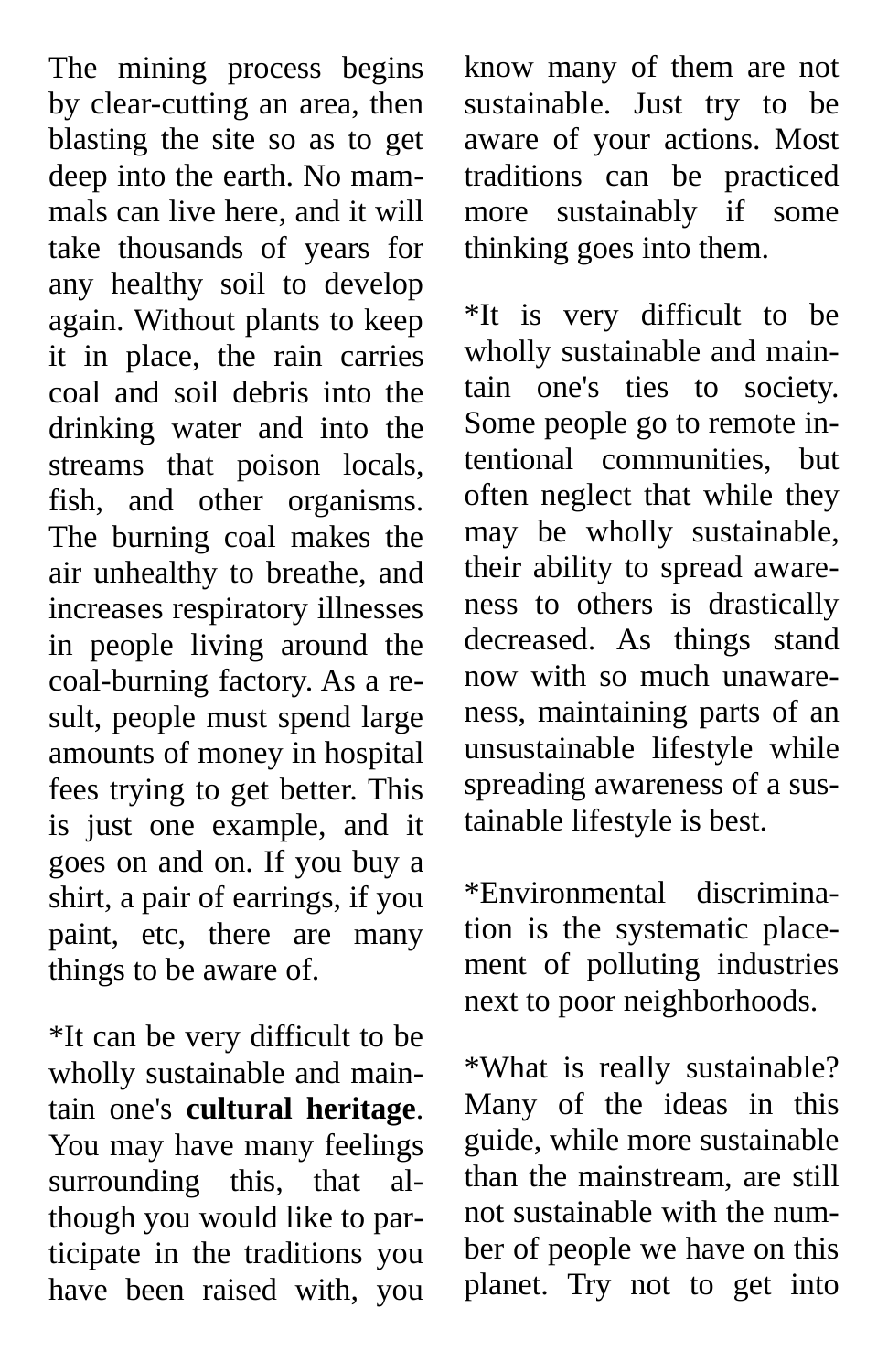The mining process begins by clear-cutting an area, then blasting the site so as to get deep into the earth. No mammals can live here, and it will take thousands of years for any healthy soil to develop again. Without plants to keep it in place, the rain carries coal and soil debris into the drinking water and into the streams that poison locals, fish, and other organisms. The burning coal makes the air unhealthy to breathe, and increases respiratory illnesses in people living around the coal-burning factory. As a result, people must spend large amounts of money in hospital fees trying to get better. This is just one example, and it goes on and on. If you buy a shirt, a pair of earrings, if you paint, etc, there are many things to be aware of.

\*It can be very difficult to be wholly sustainable and maintain one's **cultural heritage**. You may have many feelings surrounding this, that although you would like to participate in the traditions you have been raised with, you know many of them are not sustainable. Just try to be aware of your actions. Most traditions can be practiced more sustainably if some thinking goes into them.

\*It is very difficult to be wholly sustainable and maintain one's ties to society. Some people go to remote intentional communities, but often neglect that while they may be wholly sustainable, their ability to spread awareness to others is drastically decreased. As things stand now with so much unawareness, maintaining parts of an unsustainable lifestyle while spreading awareness of a sustainable lifestyle is best.

\*Environmental discrimination is the systematic placement of polluting industries next to poor neighborhoods.

\*What is really sustainable? Many of the ideas in this guide, while more sustainable than the mainstream, are still not sustainable with the number of people we have on this planet. Try not to get into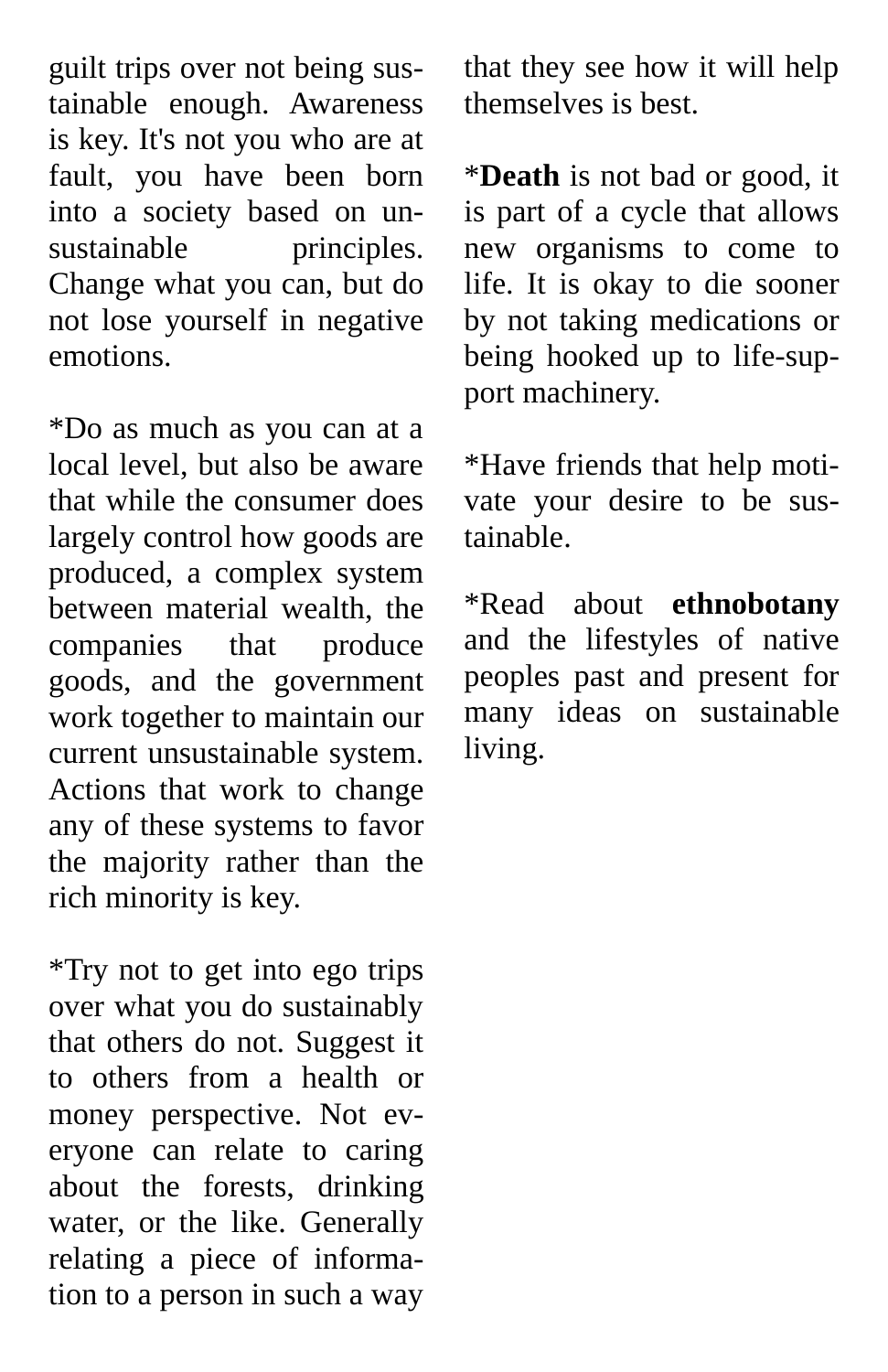guilt trips over not being sustainable enough. Awareness is key. It's not you who are at fault, you have been born into a society based on unsustainable principles. Change what you can, but do not lose yourself in negative emotions.

\*Do as much as you can at a local level, but also be aware that while the consumer does largely control how goods are produced, a complex system between material wealth, the companies that produce goods, and the government work together to maintain our current unsustainable system. Actions that work to change any of these systems to favor the majority rather than the rich minority is key.

\*Try not to get into ego trips over what you do sustainably that others do not. Suggest it to others from a health or money perspective. Not everyone can relate to caring about the forests, drinking water, or the like. Generally relating a piece of information to a person in such a way

that they see how it will help themselves is best.

\***Death** is not bad or good, it is part of a cycle that allows new organisms to come to life. It is okay to die sooner by not taking medications or being hooked up to life-support machinery.

\*Have friends that help motivate your desire to be sustainable.

\*Read about **ethnobotany** and the lifestyles of native peoples past and present for many ideas on sustainable living.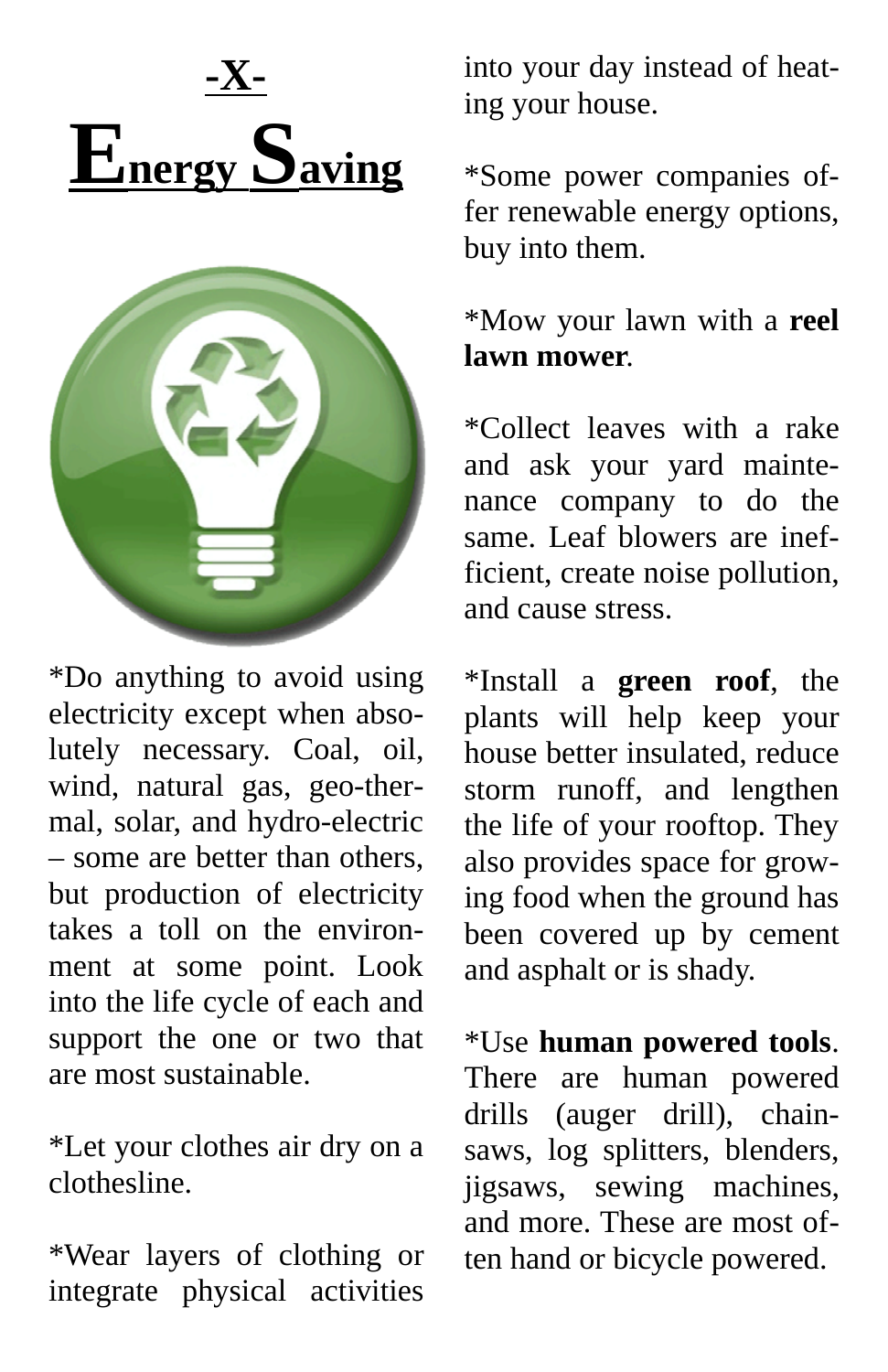



\*Do anything to avoid using electricity except when absolutely necessary. Coal, oil, wind, natural gas, geo-thermal, solar, and hydro-electric – some are better than others, but production of electricity takes a toll on the environment at some point. Look into the life cycle of each and support the one or two that are most sustainable.

\*Let your clothes air dry on a clothesline.

\*Wear layers of clothing or integrate physical activities

into your day instead of heating your house.

\*Some power companies offer renewable energy options, buy into them.

\*Mow your lawn with a **reel lawn mower**.

\*Collect leaves with a rake and ask your yard maintenance company to do the same. Leaf blowers are inefficient, create noise pollution, and cause stress.

\*Install a **green roof**, the plants will help keep your house better insulated, reduce storm runoff, and lengthen the life of your rooftop. They also provides space for growing food when the ground has been covered up by cement and asphalt or is shady.

\*Use **human powered tools**. There are human powered drills (auger drill), chainsaws, log splitters, blenders, jigsaws, sewing machines, and more. These are most often hand or bicycle powered.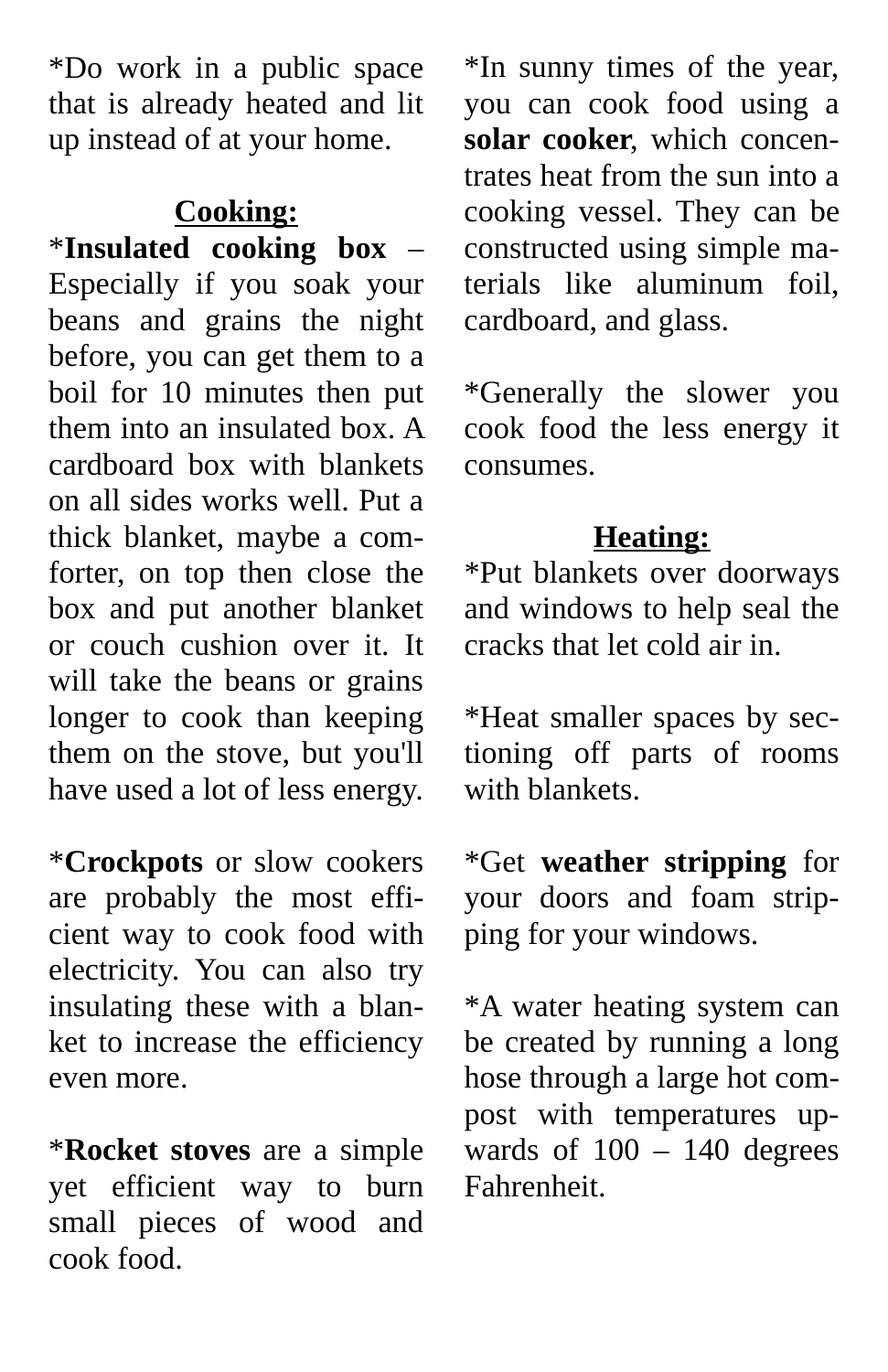\*Do work in a public space that is already heated and lit up instead of at your home.

#### **Cooking:**

\***Insulated cooking box** – Especially if you soak your beans and grains the night before, you can get them to a boil for 10 minutes then put them into an insulated box. A cardboard box with blankets on all sides works well. Put a thick blanket, maybe a comforter, on top then close the box and put another blanket or couch cushion over it. It will take the beans or grains longer to cook than keeping them on the stove, but you'll have used a lot of less energy.

\***Crockpots** or slow cookers are probably the most efficient way to cook food with electricity. You can also try insulating these with a blanket to increase the efficiency even more.

\***Rocket stoves** are a simple yet efficient way to burn small pieces of wood and cook food.

\*In sunny times of the year, you can cook food using a **solar cooker**, which concentrates heat from the sun into a cooking vessel. They can be constructed using simple materials like aluminum foil, cardboard, and glass.

\*Generally the slower you cook food the less energy it consumes.

#### **Heating:**

\*Put blankets over doorways and windows to help seal the cracks that let cold air in.

\*Heat smaller spaces by sectioning off parts of rooms with blankets.

\*Get **weather stripping** for your doors and foam stripping for your windows.

\*A water heating system can be created by running a long hose through a large hot compost with temperatures upwards of  $100 - 140$  degrees Fahrenheit.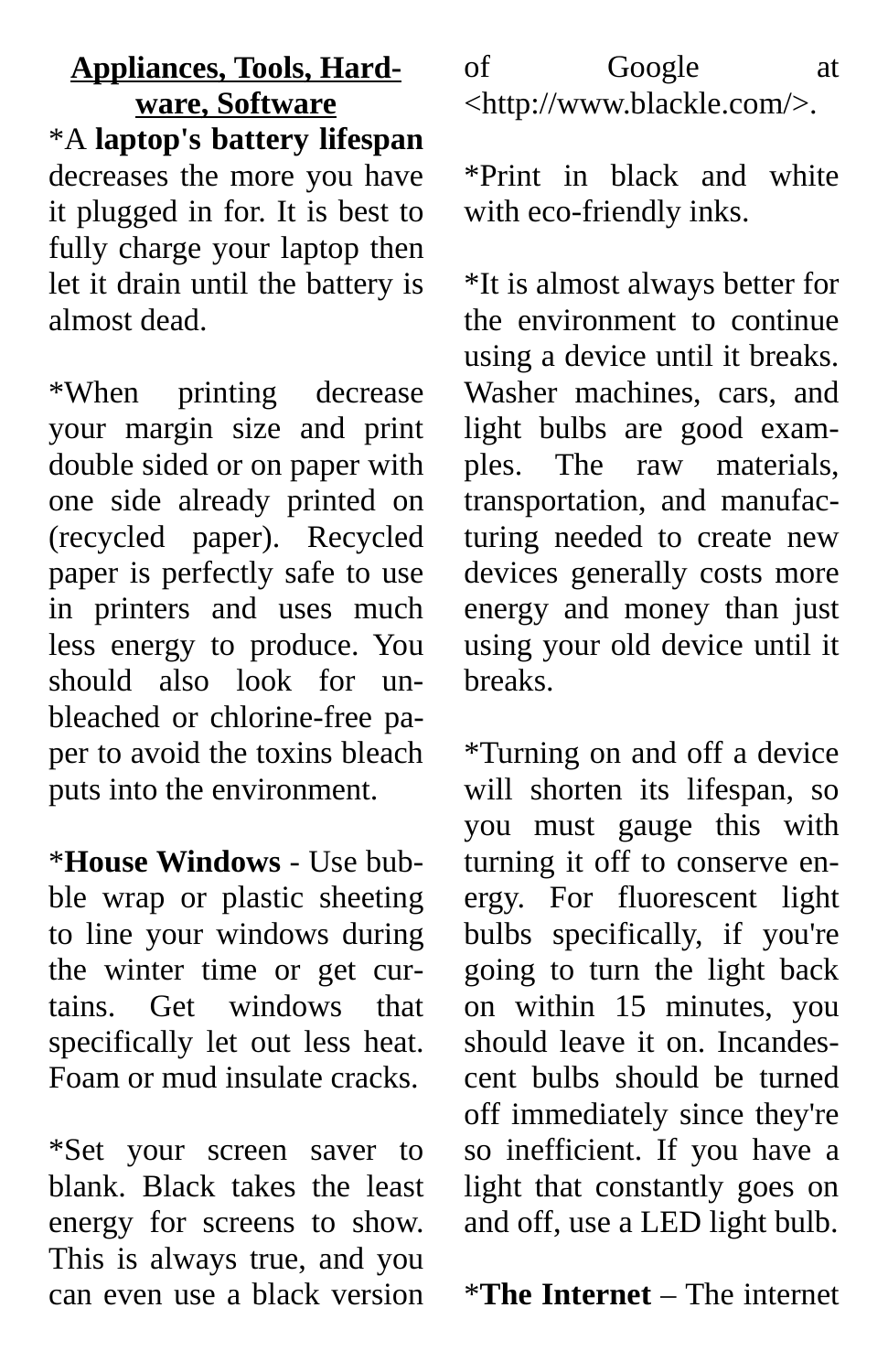#### **Appliances, Tools, Hardware, Software** \*A **laptop's battery lifespan** decreases the more you have it plugged in for. It is best to fully charge your laptop then let it drain until the battery is almost dead.

\*When printing decrease your margin size and print double sided or on paper with one side already printed on (recycled paper). Recycled paper is perfectly safe to use in printers and uses much less energy to produce. You should also look for unbleached or chlorine-free paper to avoid the toxins bleach puts into the environment.

\***House Windows** - Use bubble wrap or plastic sheeting to line your windows during the winter time or get curtains. Get windows that specifically let out less heat. Foam or mud insulate cracks.

\*Set your screen saver to blank. Black takes the least energy for screens to show. This is always true, and you can even use a black version

#### of Google at <http://www.blackle.com/>.

\*Print in black and white with eco-friendly inks.

\*It is almost always better for the environment to continue using a device until it breaks. Washer machines, cars, and light bulbs are good examples. The raw materials, transportation, and manufacturing needed to create new devices generally costs more energy and money than just using your old device until it breaks.

\*Turning on and off a device will shorten its lifespan, so you must gauge this with turning it off to conserve energy. For fluorescent light bulbs specifically, if you're going to turn the light back on within 15 minutes, you should leave it on. Incandescent bulbs should be turned off immediately since they're so inefficient. If you have a light that constantly goes on and off, use a LED light bulb.

\***The Internet** – The internet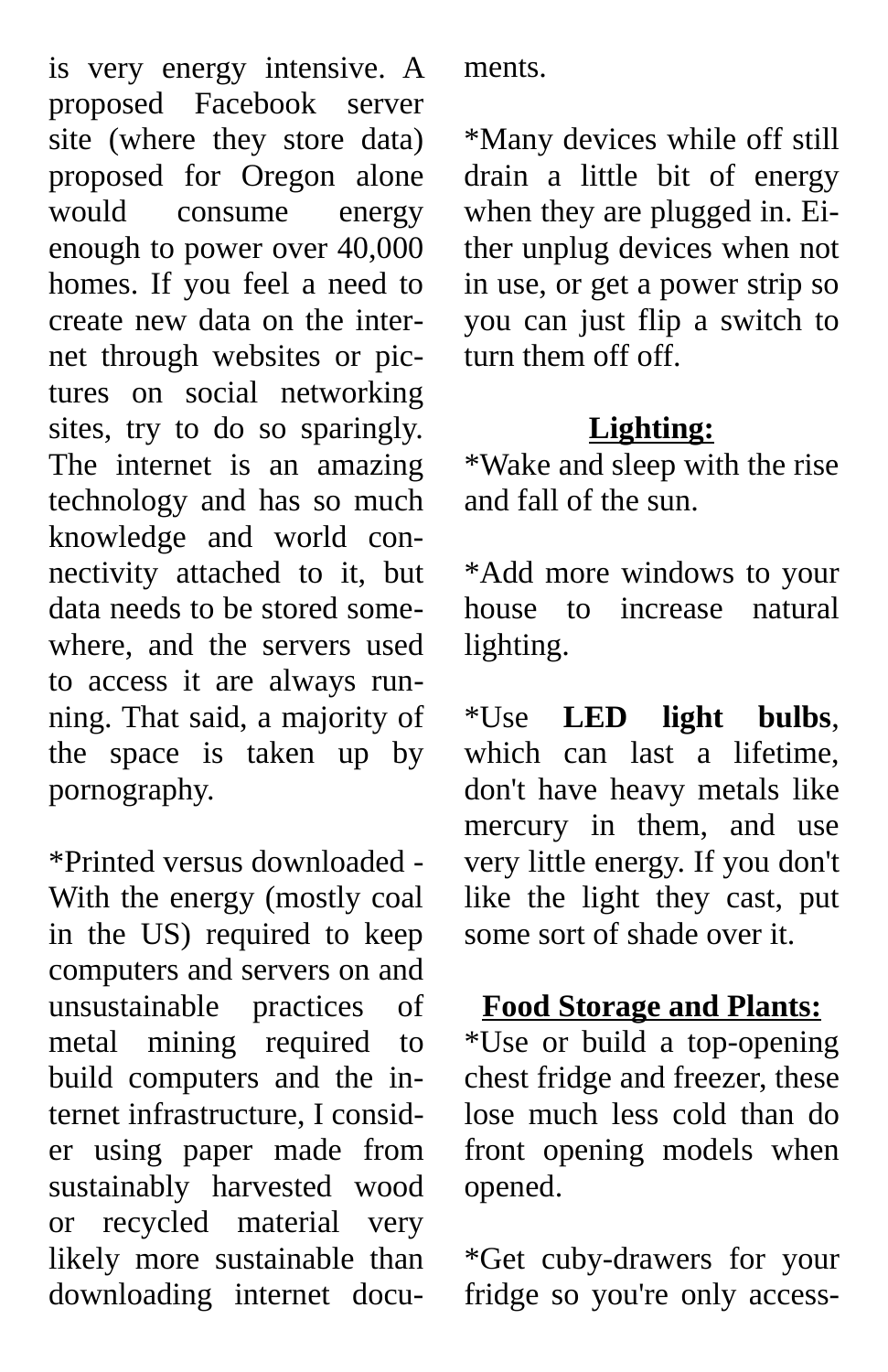is very energy intensive. A proposed Facebook server site (where they store data) proposed for Oregon alone would consume energy enough to power over 40,000 homes. If you feel a need to create new data on the internet through websites or pictures on social networking sites, try to do so sparingly. The internet is an amazing technology and has so much knowledge and world connectivity attached to it, but data needs to be stored somewhere, and the servers used to access it are always running. That said, a majority of the space is taken up by pornography.

\*Printed versus downloaded - With the energy (mostly coal in the US) required to keep computers and servers on and unsustainable practices of metal mining required to build computers and the internet infrastructure, I consider using paper made from sustainably harvested wood or recycled material very likely more sustainable than downloading internet documents.

\*Many devices while off still drain a little bit of energy when they are plugged in. Either unplug devices when not in use, or get a power strip so you can just flip a switch to turn them off off.

#### **Lighting:**

\*Wake and sleep with the rise and fall of the sun.

\*Add more windows to your house to increase natural lighting.

\*Use **LED light bulbs**, which can last a lifetime, don't have heavy metals like mercury in them, and use very little energy. If you don't like the light they cast, put some sort of shade over it.

#### **Food Storage and Plants:**

\*Use or build a top-opening chest fridge and freezer, these lose much less cold than do front opening models when opened.

\*Get cuby-drawers for your fridge so you're only access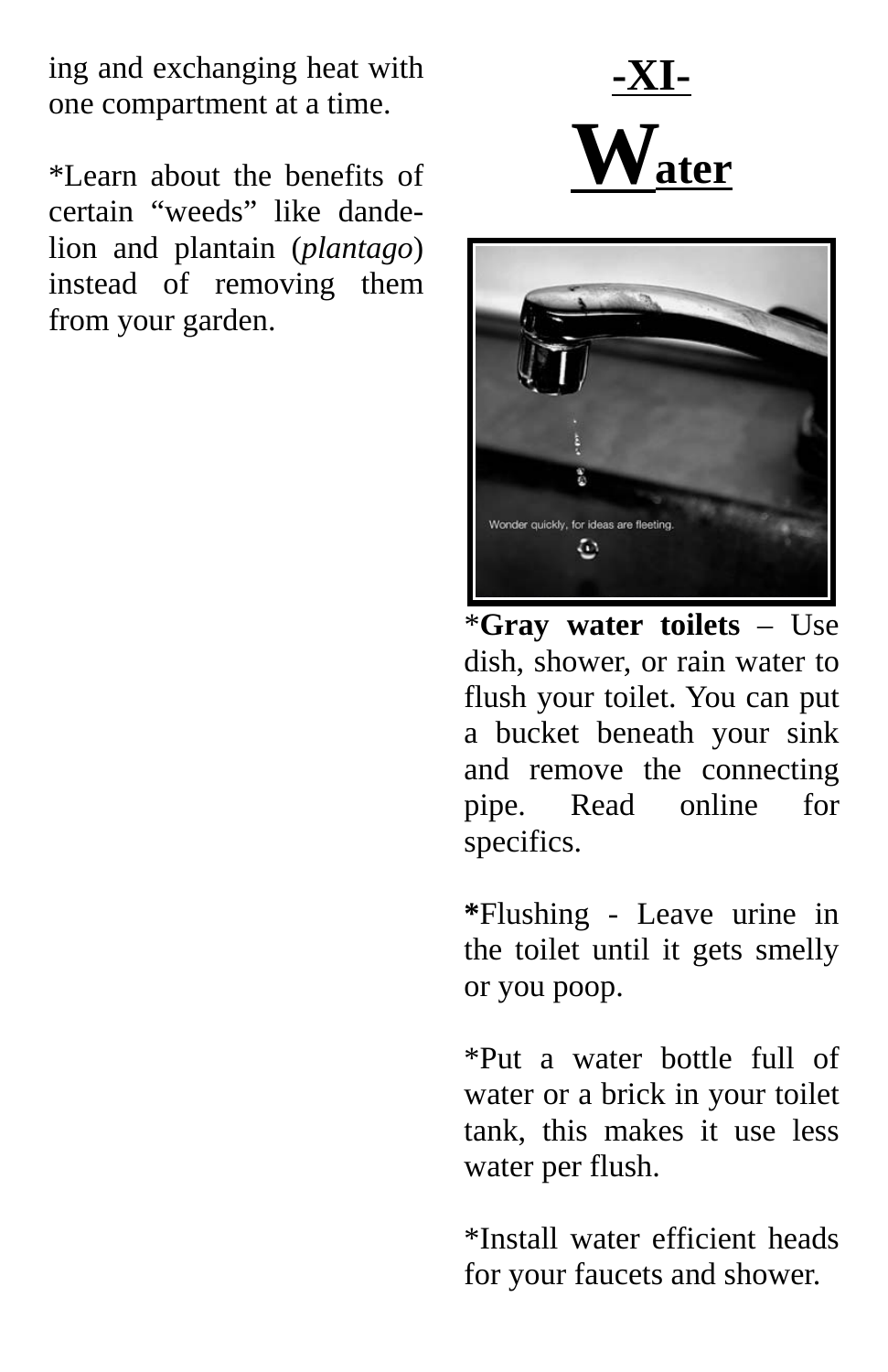ing and exchanging heat with one compartment at a time.

\*Learn about the benefits of certain "weeds" like dandelion and plantain (*plantago*) instead of removing them from your garden.





\***Gray water toilets** – Use dish, shower, or rain water to flush your toilet. You can put a bucket beneath your sink and remove the connecting pipe. Read online for specifics.

**\***Flushing - Leave urine in the toilet until it gets smelly or you poop.

\*Put a water bottle full of water or a brick in your toilet tank, this makes it use less water per flush.

\*Install water efficient heads for your faucets and shower.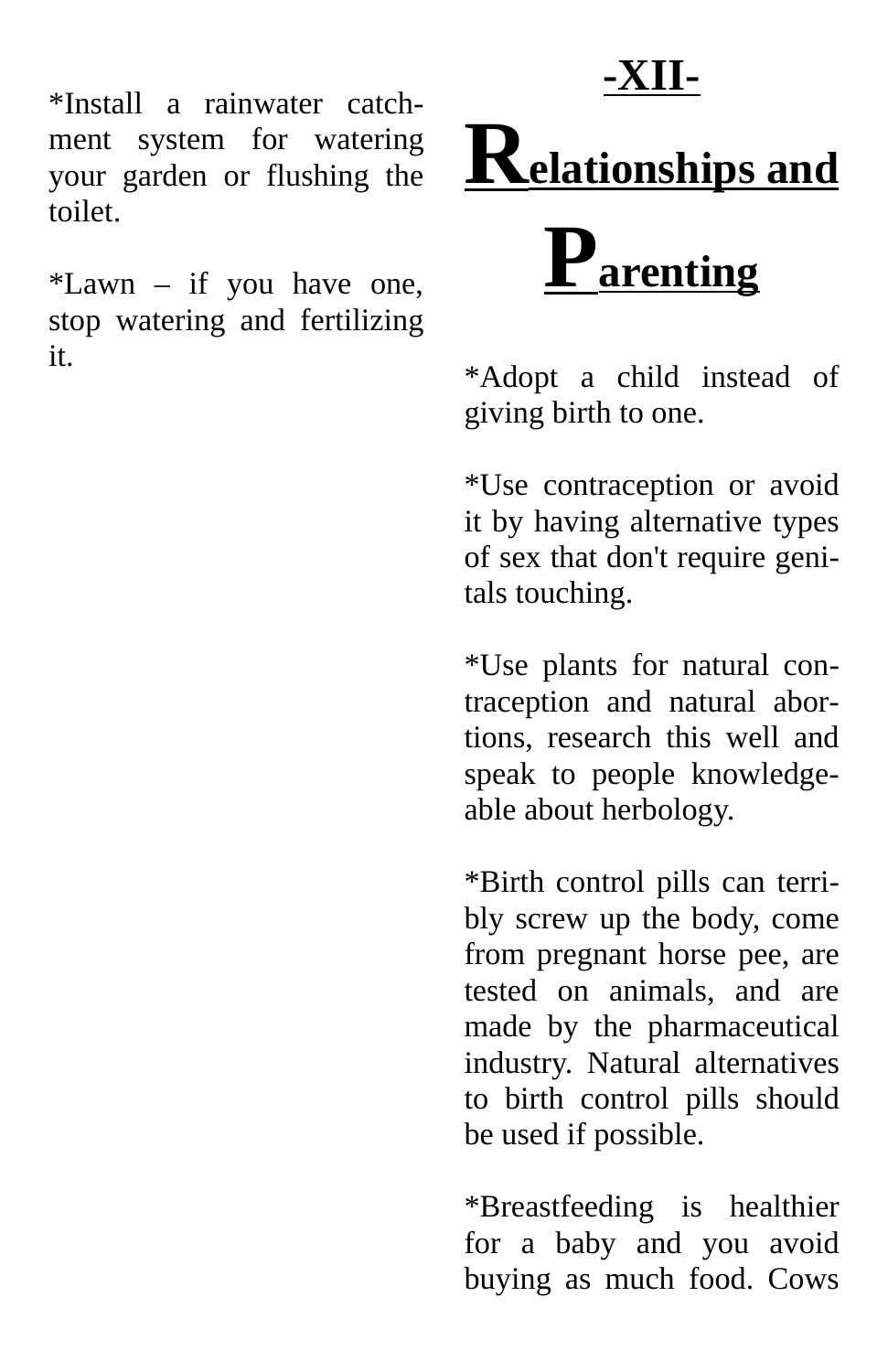**-XII-**

\*Install a rainwater catchment system for watering your garden or flushing the toilet.

\*Lawn – if you have one, stop watering and fertilizing it.



\*Adopt a child instead of giving birth to one.

\*Use contraception or avoid it by having alternative types of sex that don't require genitals touching.

\*Use plants for natural contraception and natural abortions, research this well and speak to people knowledgeable about herbology.

\*Birth control pills can terribly screw up the body, come from pregnant horse pee, are tested on animals, and are made by the pharmaceutical industry. Natural alternatives to birth control pills should be used if possible.

\*Breastfeeding is healthier for a baby and you avoid buying as much food. Cows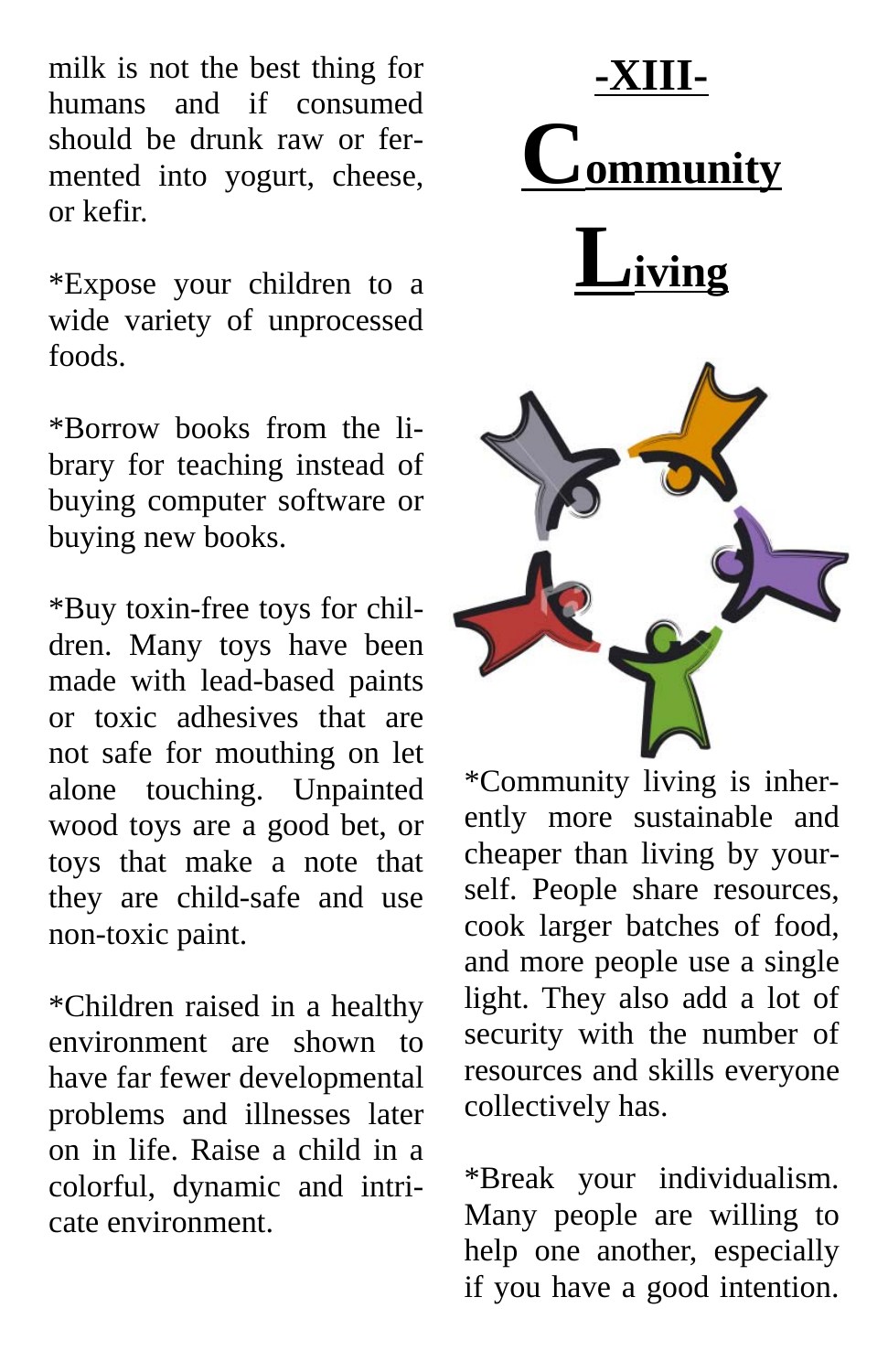milk is not the best thing for humans and if consumed should be drunk raw or fermented into yogurt, cheese, or kefir.

\*Expose your children to a wide variety of unprocessed foods.

\*Borrow books from the library for teaching instead of buying computer software or buying new books.

\*Buy toxin-free toys for children. Many toys have been made with lead-based paints or toxic adhesives that are not safe for mouthing on let alone touching. Unpainted wood toys are a good bet, or toys that make a note that they are child-safe and use non-toxic paint.

\*Children raised in a healthy environment are shown to have far fewer developmental problems and illnesses later on in life. Raise a child in a colorful, dynamic and intricate environment.



\*Community living is inherently more sustainable and cheaper than living by yourself. People share resources, cook larger batches of food, and more people use a single light. They also add a lot of security with the number of resources and skills everyone collectively has.

\*Break your individualism. Many people are willing to help one another, especially if you have a good intention.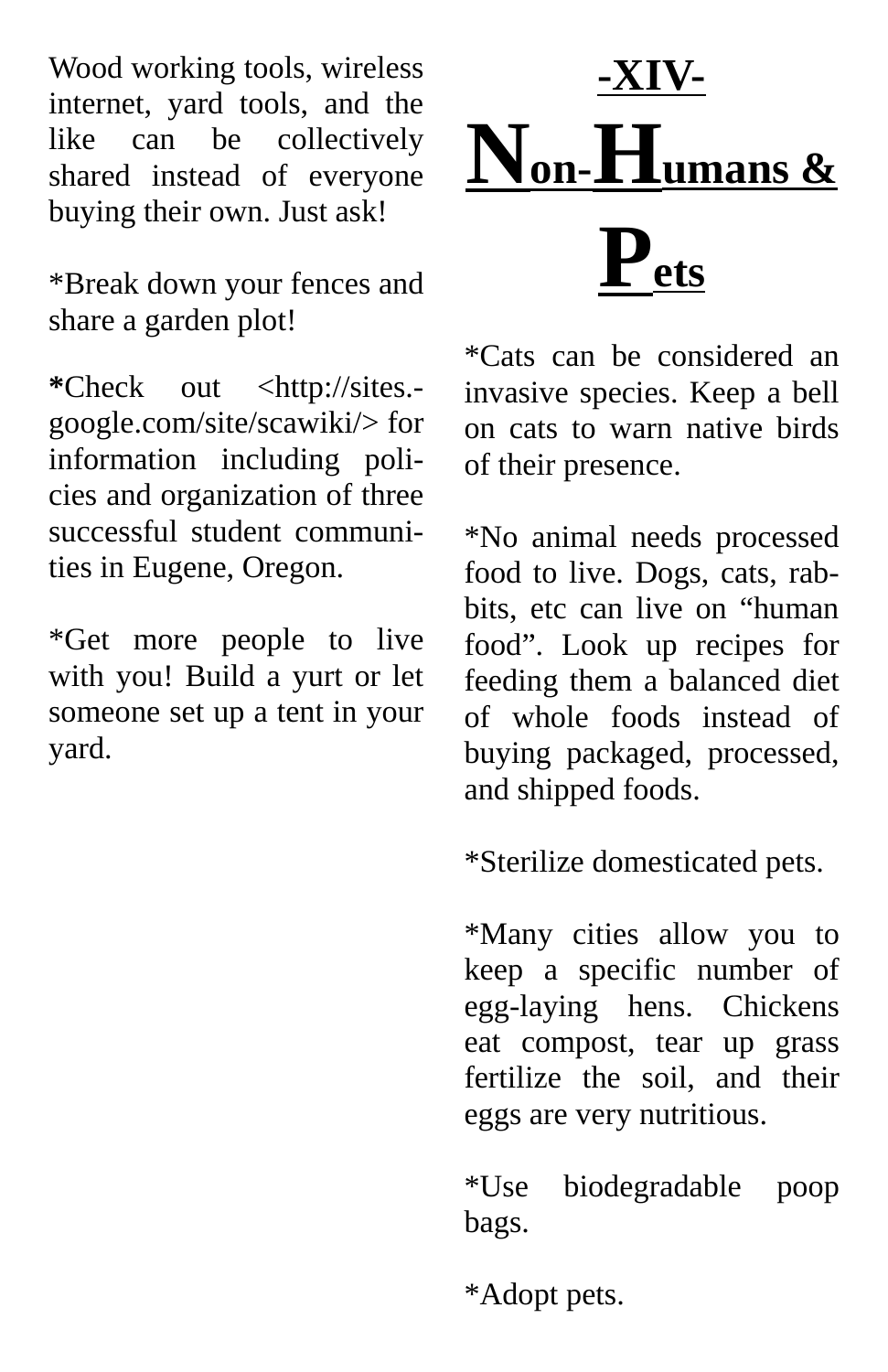Wood working tools, wireless internet, yard tools, and the like can be collectively shared instead of everyone buying their own. Just ask!

\*Break down your fences and share a garden plot!

**\***Check out <http://sites. google.com/site/scawiki/> for information including policies and organization of three successful student communities in Eugene, Oregon.

\*Get more people to live with you! Build a yurt or let someone set up a tent in your yard.

**-XIV-**  $\mathbf{N}_{\text{on}}\text{-}\mathbf{H}_{\text{umans\ \&} }$ **P ets**

\*Cats can be considered an invasive species. Keep a bell on cats to warn native birds of their presence.

\*No animal needs processed food to live. Dogs, cats, rabbits, etc can live on "human food". Look up recipes for feeding them a balanced diet of whole foods instead of buying packaged, processed, and shipped foods.

\*Sterilize domesticated pets.

\*Many cities allow you to keep a specific number of egg-laying hens. Chickens eat compost, tear up grass fertilize the soil, and their eggs are very nutritious.

\*Use biodegradable poop bags.

\*Adopt pets.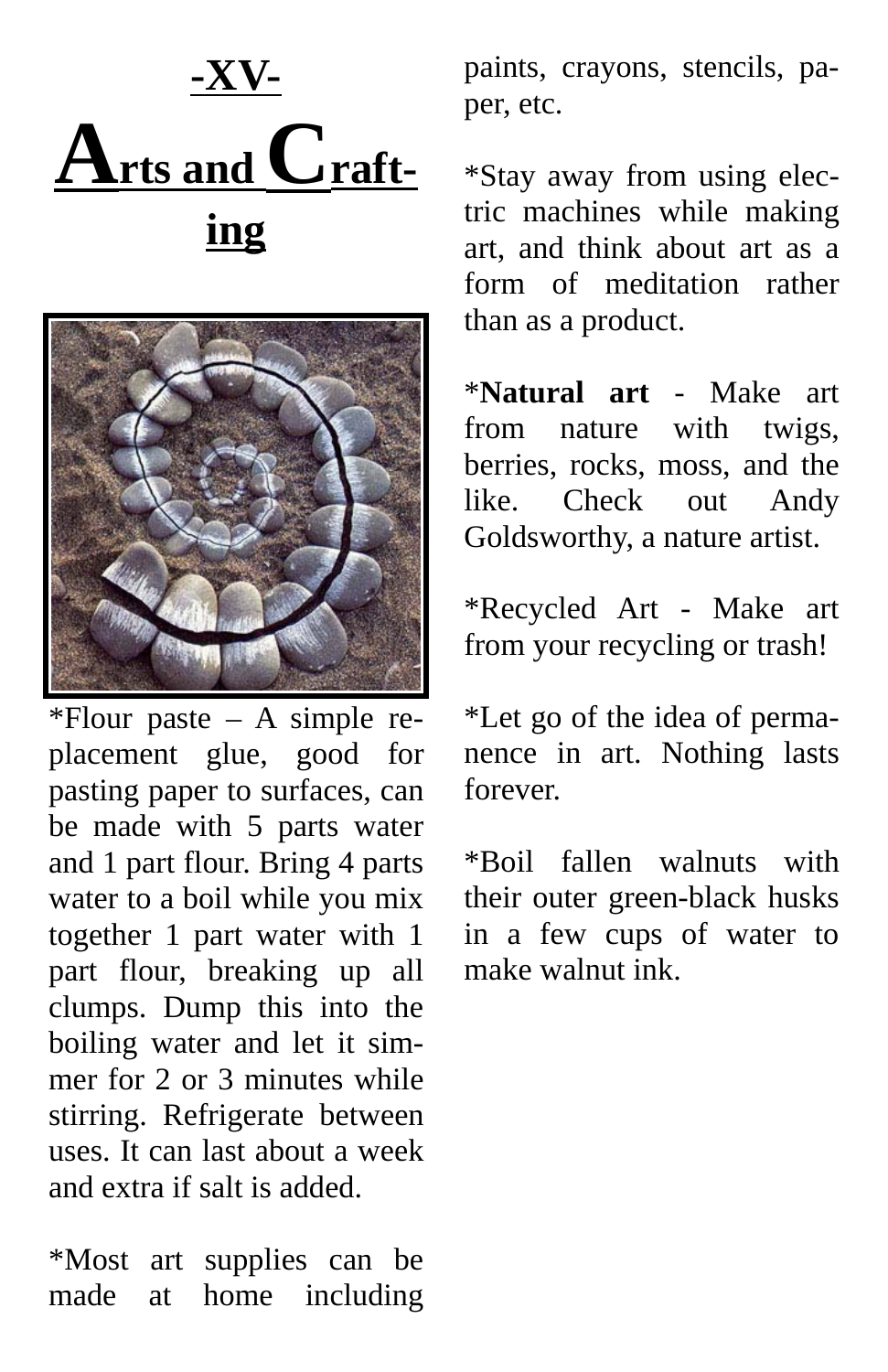



\*Flour paste – A simple replacement glue, good for pasting paper to surfaces, can be made with 5 parts water and 1 part flour. Bring 4 parts water to a boil while you mix together 1 part water with 1 part flour, breaking up all clumps. Dump this into the boiling water and let it simmer for 2 or 3 minutes while stirring. Refrigerate between uses. It can last about a week and extra if salt is added.

\*Most art supplies can be made at home including paints, crayons, stencils, paper, etc.

\*Stay away from using electric machines while making art, and think about art as a form of meditation rather than as a product.

\***Natural art** - Make art from nature with twigs, berries, rocks, moss, and the like. Check out Andy Goldsworthy, a nature artist.

\*Recycled Art - Make art from your recycling or trash!

\*Let go of the idea of permanence in art. Nothing lasts forever.

\*Boil fallen walnuts with their outer green-black husks in a few cups of water to make walnut ink.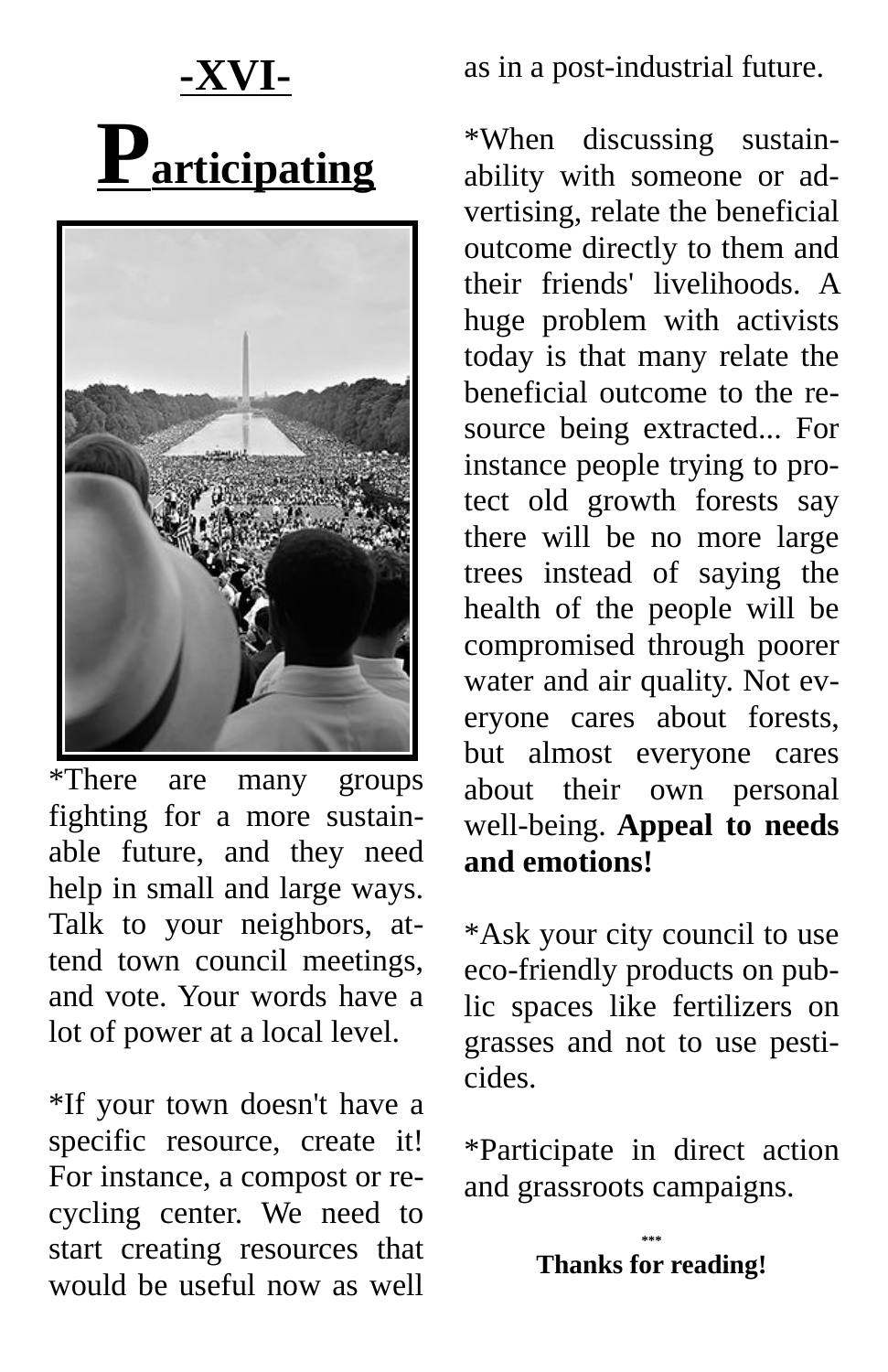### **-XVI- Participating**



\*There are many groups fighting for a more sustainable future, and they need help in small and large ways. Talk to your neighbors, attend town council meetings, and vote. Your words have a lot of power at a local level.

\*If your town doesn't have a specific resource, create it! For instance, a compost or recycling center. We need to start creating resources that would be useful now as well

as in a post-industrial future.

\*When discussing sustainability with someone or advertising, relate the beneficial outcome directly to them and their friends' livelihoods. A huge problem with activists today is that many relate the beneficial outcome to the resource being extracted... For instance people trying to protect old growth forests say there will be no more large trees instead of saying the health of the people will be compromised through poorer water and air quality. Not everyone cares about forests, but almost everyone cares about their own personal well-being. **Appeal to needs and emotions!**

\*Ask your city council to use eco-friendly products on public spaces like fertilizers on grasses and not to use pesticides.

\*Participate in direct action and grassroots campaigns.

> **\*\*\* Thanks for reading!**